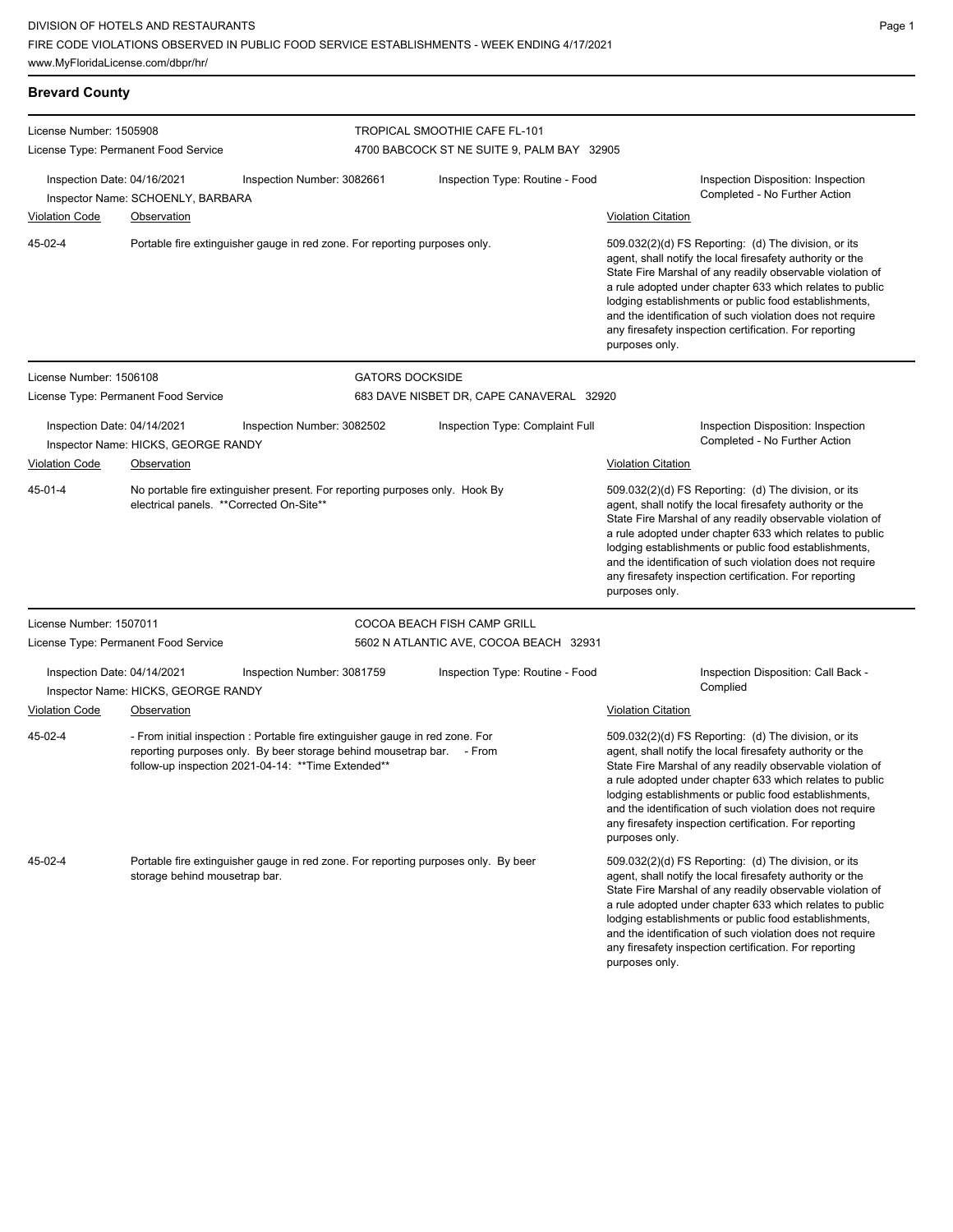Page 1

| <b>Brevard County</b>       |                                                                                                                                                                                                               |                                                                                    |                                                                                                                                                                                                                                                                                                                                                                                                                                              |                                            |                                                                                                                                                                                                                                                                                                                                                                                                                                              |  |  |
|-----------------------------|---------------------------------------------------------------------------------------------------------------------------------------------------------------------------------------------------------------|------------------------------------------------------------------------------------|----------------------------------------------------------------------------------------------------------------------------------------------------------------------------------------------------------------------------------------------------------------------------------------------------------------------------------------------------------------------------------------------------------------------------------------------|--------------------------------------------|----------------------------------------------------------------------------------------------------------------------------------------------------------------------------------------------------------------------------------------------------------------------------------------------------------------------------------------------------------------------------------------------------------------------------------------------|--|--|
| License Number: 1505908     |                                                                                                                                                                                                               |                                                                                    | TROPICAL SMOOTHIE CAFE FL-101                                                                                                                                                                                                                                                                                                                                                                                                                |                                            |                                                                                                                                                                                                                                                                                                                                                                                                                                              |  |  |
|                             | License Type: Permanent Food Service                                                                                                                                                                          |                                                                                    |                                                                                                                                                                                                                                                                                                                                                                                                                                              | 4700 BABCOCK ST NE SUITE 9, PALM BAY 32905 |                                                                                                                                                                                                                                                                                                                                                                                                                                              |  |  |
| Inspection Date: 04/16/2021 | Inspector Name: SCHOENLY, BARBARA                                                                                                                                                                             | Inspection Number: 3082661                                                         |                                                                                                                                                                                                                                                                                                                                                                                                                                              | Inspection Type: Routine - Food            | Inspection Disposition: Inspection<br>Completed - No Further Action                                                                                                                                                                                                                                                                                                                                                                          |  |  |
| <b>Violation Code</b>       | Observation                                                                                                                                                                                                   |                                                                                    |                                                                                                                                                                                                                                                                                                                                                                                                                                              |                                            | <b>Violation Citation</b>                                                                                                                                                                                                                                                                                                                                                                                                                    |  |  |
| 45-02-4                     |                                                                                                                                                                                                               | Portable fire extinguisher gauge in red zone. For reporting purposes only.         |                                                                                                                                                                                                                                                                                                                                                                                                                                              |                                            | 509.032(2)(d) FS Reporting: (d) The division, or its<br>agent, shall notify the local firesafety authority or the<br>State Fire Marshal of any readily observable violation of<br>a rule adopted under chapter 633 which relates to public<br>lodging establishments or public food establishments,<br>and the identification of such violation does not require<br>any firesafety inspection certification. For reporting<br>purposes only. |  |  |
| License Number: 1506108     |                                                                                                                                                                                                               |                                                                                    | <b>GATORS DOCKSIDE</b>                                                                                                                                                                                                                                                                                                                                                                                                                       |                                            |                                                                                                                                                                                                                                                                                                                                                                                                                                              |  |  |
|                             | License Type: Permanent Food Service                                                                                                                                                                          |                                                                                    |                                                                                                                                                                                                                                                                                                                                                                                                                                              | 683 DAVE NISBET DR, CAPE CANAVERAL 32920   |                                                                                                                                                                                                                                                                                                                                                                                                                                              |  |  |
| Inspection Date: 04/14/2021 | Inspector Name: HICKS, GEORGE RANDY                                                                                                                                                                           | Inspection Number: 3082502                                                         |                                                                                                                                                                                                                                                                                                                                                                                                                                              | Inspection Type: Complaint Full            | Inspection Disposition: Inspection<br>Completed - No Further Action                                                                                                                                                                                                                                                                                                                                                                          |  |  |
| <b>Violation Code</b>       | Observation                                                                                                                                                                                                   |                                                                                    |                                                                                                                                                                                                                                                                                                                                                                                                                                              |                                            | <b>Violation Citation</b>                                                                                                                                                                                                                                                                                                                                                                                                                    |  |  |
| 45-01-4                     | electrical panels. ** Corrected On-Site**                                                                                                                                                                     | No portable fire extinguisher present. For reporting purposes only. Hook By        |                                                                                                                                                                                                                                                                                                                                                                                                                                              |                                            | 509.032(2)(d) FS Reporting: (d) The division, or its<br>agent, shall notify the local firesafety authority or the<br>State Fire Marshal of any readily observable violation of<br>a rule adopted under chapter 633 which relates to public<br>lodging establishments or public food establishments,<br>and the identification of such violation does not require<br>any firesafety inspection certification. For reporting<br>purposes only. |  |  |
| License Number: 1507011     |                                                                                                                                                                                                               |                                                                                    | COCOA BEACH FISH CAMP GRILL                                                                                                                                                                                                                                                                                                                                                                                                                  |                                            |                                                                                                                                                                                                                                                                                                                                                                                                                                              |  |  |
|                             | License Type: Permanent Food Service                                                                                                                                                                          |                                                                                    |                                                                                                                                                                                                                                                                                                                                                                                                                                              | 5602 N ATLANTIC AVE, COCOA BEACH 32931     |                                                                                                                                                                                                                                                                                                                                                                                                                                              |  |  |
| Inspection Date: 04/14/2021 | Inspector Name: HICKS, GEORGE RANDY                                                                                                                                                                           | Inspection Number: 3081759                                                         | Inspection Type: Routine - Food                                                                                                                                                                                                                                                                                                                                                                                                              |                                            | Inspection Disposition: Call Back -<br>Complied                                                                                                                                                                                                                                                                                                                                                                                              |  |  |
| <b>Violation Code</b>       | Observation                                                                                                                                                                                                   |                                                                                    |                                                                                                                                                                                                                                                                                                                                                                                                                                              |                                            | <b>Violation Citation</b>                                                                                                                                                                                                                                                                                                                                                                                                                    |  |  |
| 45-02-4                     | - From initial inspection : Portable fire extinguisher gauge in red zone. For<br>reporting purposes only. By beer storage behind mousetrap bar. - From<br>follow-up inspection 2021-04-14: ** Time Extended** |                                                                                    | 509.032(2)(d) FS Reporting: (d) The division, or its<br>agent, shall notify the local firesafety authority or the<br>State Fire Marshal of any readily observable violation of<br>a rule adopted under chapter 633 which relates to public<br>lodging establishments or public food establishments,<br>and the identification of such violation does not require<br>any firesafety inspection certification. For reporting<br>purposes only. |                                            |                                                                                                                                                                                                                                                                                                                                                                                                                                              |  |  |
| 45-02-4                     | storage behind mousetrap bar.                                                                                                                                                                                 | Portable fire extinguisher gauge in red zone. For reporting purposes only. By beer |                                                                                                                                                                                                                                                                                                                                                                                                                                              |                                            | 509.032(2)(d) FS Reporting: (d) The division, or its<br>agent, shall notify the local firesafety authority or the<br>State Fire Marshal of any readily observable violation of<br>a rule adopted under chapter 633 which relates to public<br>lodging establishments or public food establishments,<br>and the identification of such violation does not require<br>any firesafety inspection certification. For reporting<br>purposes only. |  |  |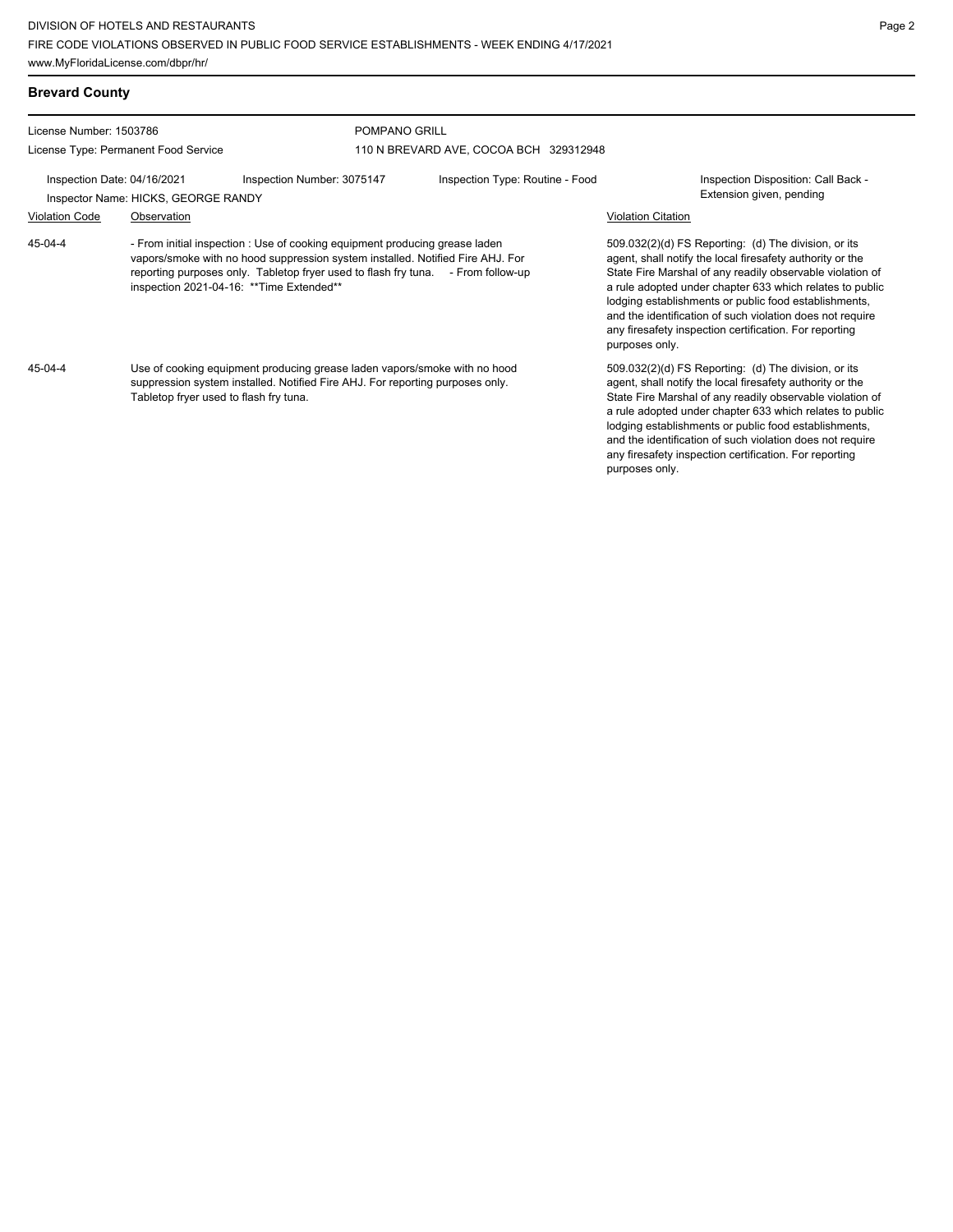**Brevard County** License Number: 1503786 License Type: Permanent Food Service POMPANO GRILL 110 N BREVARD AVE, COCOA BCH 329312948 Inspection Date: 04/16/2021 Inspection Number: 3075147 Inspection Type: Routine - Food Inspection Disposition: Call Back -Inspector Name: HICKS, GEORGE RANDY **Extension given, pending** Violation Code Observation Violation Citation - From initial inspection : Use of cooking equipment producing grease laden vapors/smoke with no hood suppression system installed. Notified Fire AHJ. For reporting purposes only. Tabletop fryer used to flash fry tuna. - From follow-up inspection 2021-04-16: \*\*Time Extended\*\* 509.032(2)(d) FS Reporting: (d) The division, or its agent, shall notify the local firesafety authority or the State Fire Marshal of any readily observable violation of a rule adopted under chapter 633 which relates to public lodging establishments or public food establishments, and the identification of such violation does not require any firesafety inspection certification. For reporting purposes only. 45-04-4 Use of cooking equipment producing grease laden vapors/smoke with no hood suppression system installed. Notified Fire AHJ. For reporting purposes only. Tabletop fryer used to flash fry tuna. 509.032(2)(d) FS Reporting: (d) The division, or its agent, shall notify the local firesafety authority or the State Fire Marshal of any readily observable violation of a rule adopted under chapter 633 which relates to public lodging establishments or public food establishments, and the identification of such violation does not require 45-04-4

any firesafety inspection certification. For reporting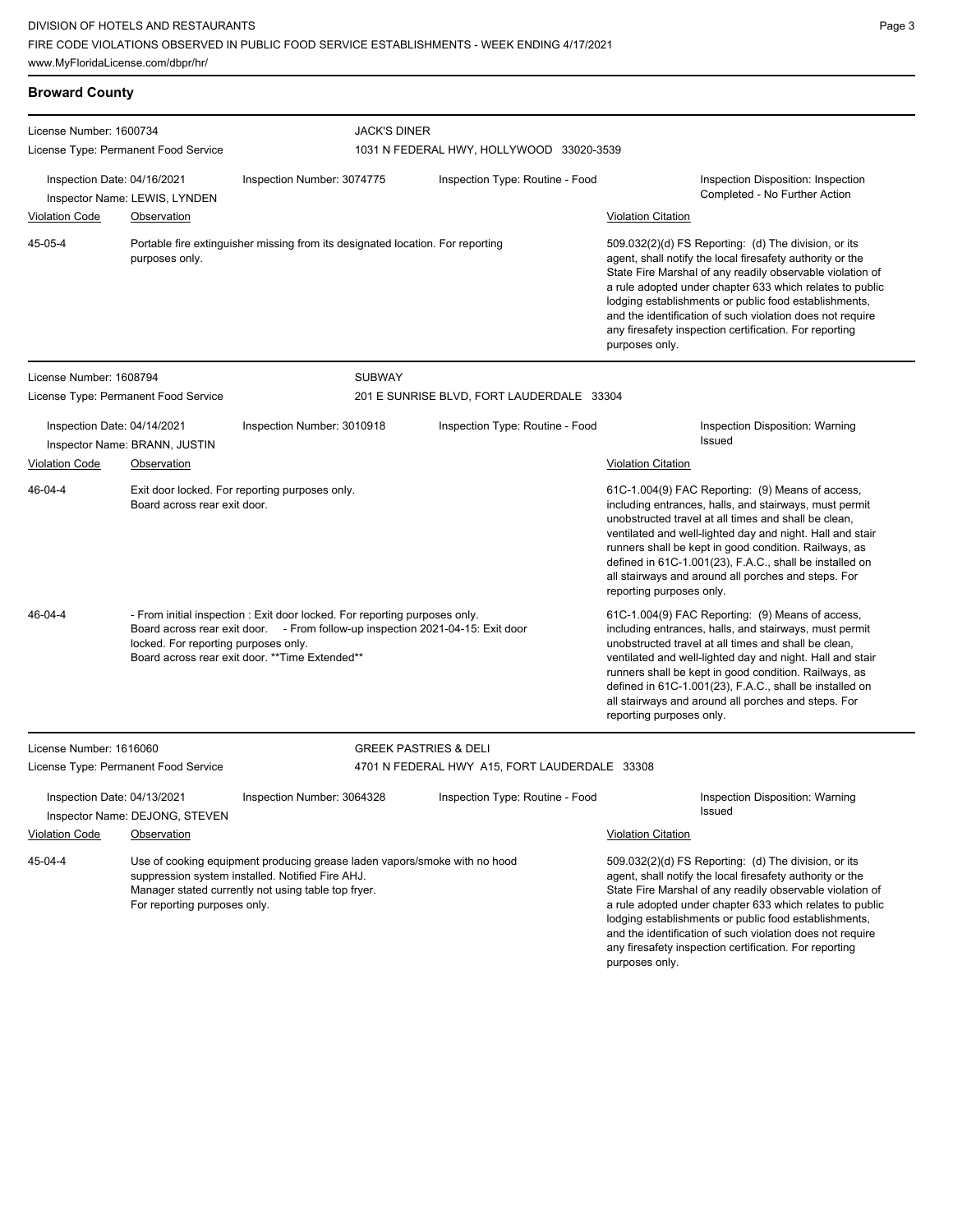## **Broward County**

| License Number: 1600734                                                                                                                                                                                                                                            |                                              | <b>JACK'S DINER</b>                                                            |                                               |                                                                                                                                                                                                                                                                                                                                                                                                                                        |  |  |
|--------------------------------------------------------------------------------------------------------------------------------------------------------------------------------------------------------------------------------------------------------------------|----------------------------------------------|--------------------------------------------------------------------------------|-----------------------------------------------|----------------------------------------------------------------------------------------------------------------------------------------------------------------------------------------------------------------------------------------------------------------------------------------------------------------------------------------------------------------------------------------------------------------------------------------|--|--|
|                                                                                                                                                                                                                                                                    | License Type: Permanent Food Service         |                                                                                | 1031 N FEDERAL HWY, HOLLYWOOD 33020-3539      |                                                                                                                                                                                                                                                                                                                                                                                                                                        |  |  |
| Inspection Date: 04/16/2021<br><b>Violation Code</b>                                                                                                                                                                                                               | Inspector Name: LEWIS, LYNDEN<br>Observation | Inspection Number: 3074775                                                     | Inspection Type: Routine - Food               | Inspection Disposition: Inspection<br>Completed - No Further Action<br><b>Violation Citation</b>                                                                                                                                                                                                                                                                                                                                       |  |  |
| 45-05-4                                                                                                                                                                                                                                                            |                                              | Portable fire extinguisher missing from its designated location. For reporting |                                               | 509.032(2)(d) FS Reporting: (d) The division, or its                                                                                                                                                                                                                                                                                                                                                                                   |  |  |
| purposes only.                                                                                                                                                                                                                                                     |                                              |                                                                                |                                               | agent, shall notify the local firesafety authority or the<br>State Fire Marshal of any readily observable violation of<br>a rule adopted under chapter 633 which relates to public<br>lodging establishments or public food establishments,<br>and the identification of such violation does not require<br>any firesafety inspection certification. For reporting<br>purposes only.                                                   |  |  |
| License Number: 1608794                                                                                                                                                                                                                                            |                                              | <b>SUBWAY</b>                                                                  |                                               |                                                                                                                                                                                                                                                                                                                                                                                                                                        |  |  |
|                                                                                                                                                                                                                                                                    | License Type: Permanent Food Service         |                                                                                | 201 E SUNRISE BLVD, FORT LAUDERDALE 33304     |                                                                                                                                                                                                                                                                                                                                                                                                                                        |  |  |
| Inspection Date: 04/14/2021                                                                                                                                                                                                                                        | Inspector Name: BRANN, JUSTIN                | Inspection Number: 3010918                                                     | Inspection Type: Routine - Food               | Inspection Disposition: Warning<br><b>Issued</b>                                                                                                                                                                                                                                                                                                                                                                                       |  |  |
| <b>Violation Code</b>                                                                                                                                                                                                                                              | Observation                                  |                                                                                |                                               | <b>Violation Citation</b>                                                                                                                                                                                                                                                                                                                                                                                                              |  |  |
| 46-04-4                                                                                                                                                                                                                                                            | Board across rear exit door.                 | Exit door locked. For reporting purposes only.                                 |                                               | 61C-1.004(9) FAC Reporting: (9) Means of access,<br>including entrances, halls, and stairways, must permit<br>unobstructed travel at all times and shall be clean,<br>ventilated and well-lighted day and night. Hall and stair<br>runners shall be kept in good condition. Railways, as<br>defined in 61C-1.001(23), F.A.C., shall be installed on<br>all stairways and around all porches and steps. For<br>reporting purposes only. |  |  |
| - From initial inspection : Exit door locked. For reporting purposes only.<br>46-04-4<br>Board across rear exit door. - From follow-up inspection 2021-04-15: Exit door<br>locked. For reporting purposes only.<br>Board across rear exit door. ** Time Extended** |                                              |                                                                                |                                               | 61C-1.004(9) FAC Reporting: (9) Means of access,<br>including entrances, halls, and stairways, must permit<br>unobstructed travel at all times and shall be clean,<br>ventilated and well-lighted day and night. Hall and stair<br>runners shall be kept in good condition. Railways, as<br>defined in 61C-1.001(23), F.A.C., shall be installed on<br>all stairways and around all porches and steps. For<br>reporting purposes only. |  |  |
| License Number: 1616060                                                                                                                                                                                                                                            |                                              |                                                                                | <b>GREEK PASTRIES &amp; DELI</b>              |                                                                                                                                                                                                                                                                                                                                                                                                                                        |  |  |
| License Type: Permanent Food Service                                                                                                                                                                                                                               |                                              |                                                                                | 4701 N FEDERAL HWY A15, FORT LAUDERDALE 33308 |                                                                                                                                                                                                                                                                                                                                                                                                                                        |  |  |

Inspection Date: 04/13/2021 Inspection Number: 3064328 Inspection Type: Routine - Food Inspection Disposition: Warning Inspector Name: DEJONG, STEVEN Violation Code Observation Violation Citation Use of cooking equipment producing grease laden vapors/smoke with no hood suppression system installed. Notified Fire AHJ. Manager stated currently not using table top fryer. For reporting purposes only. 509.032(2)(d) FS Reporting: (d) The division, or its agent, shall notify the local firesafety authority or the State Fire Marshal of any readily observable violation of a rule adopted under chapter 633 which relates to public lodging establishments or public food establishments, and the identification of such violation does not require 45-04-4

any firesafety inspection certification. For reporting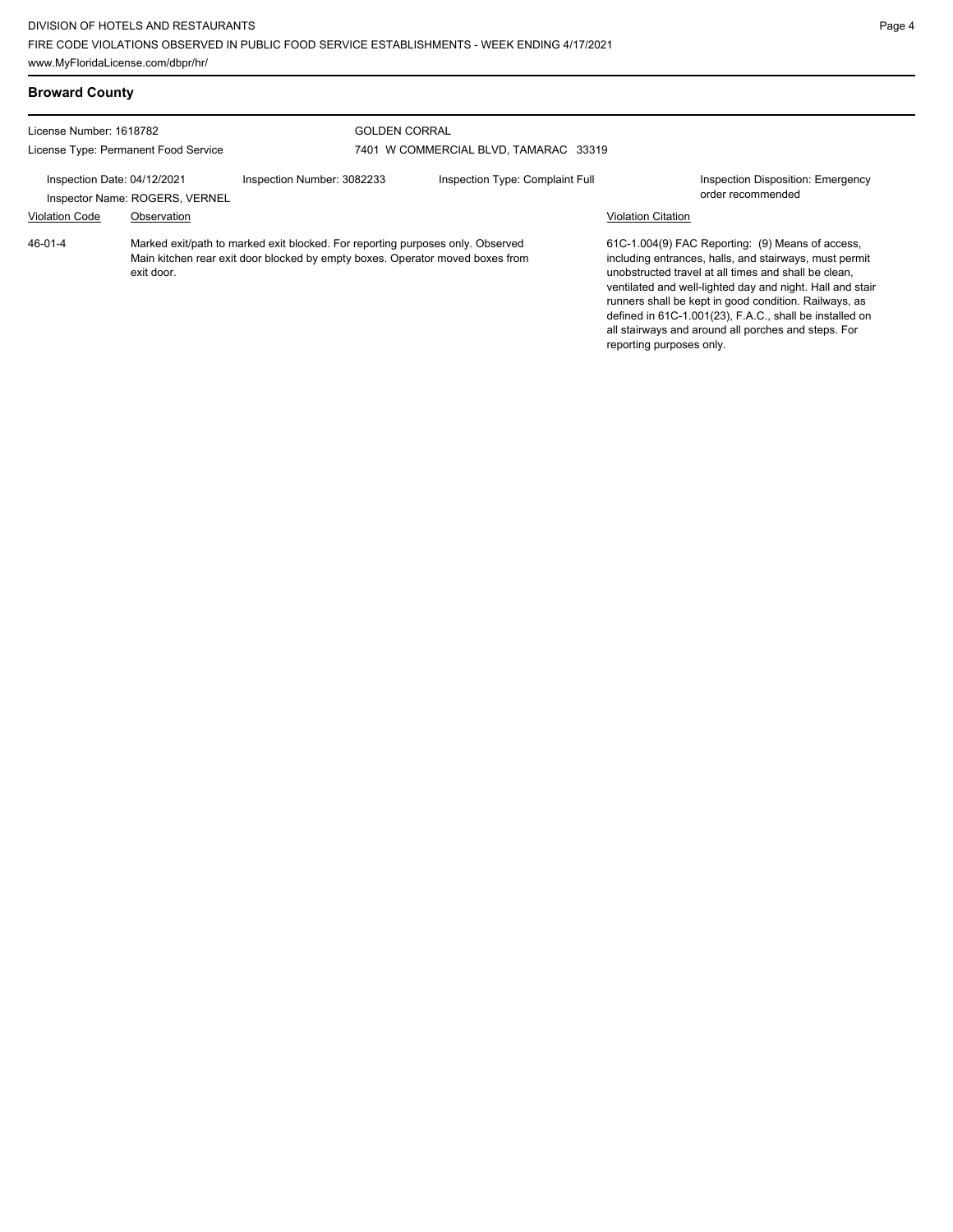#### License Number: 1618782 License Type: Permanent Food Service GOLDEN CORRAL 7401 W COMMERCIAL BLVD, TAMARAC 33319 Inspection Date: 04/12/2021 Inspection Number: 3082233 Inspection Type: Complaint Full Inspection Disposition: Emergency Inspector Name: ROGERS, VERNEL **Inspector Name: ROGERS**, VERNEL Violation Code Observation Violation Citation Marked exit/path to marked exit blocked. For reporting purposes only. Observed Main kitchen rear exit door blocked by empty boxes. Operator moved boxes from exit door. 61C-1.004(9) FAC Reporting: (9) Means of access, including entrances, halls, and stairways, must permit unobstructed travel at all times and shall be clean, ventilated and well-lighted day and night. Hall and stair runners shall be kept in good condition. Railways, as defined in 61C-1.001(23), F.A.C., shall be installed on all stairways and around all porches and steps. For reporting purposes only. 46-01-4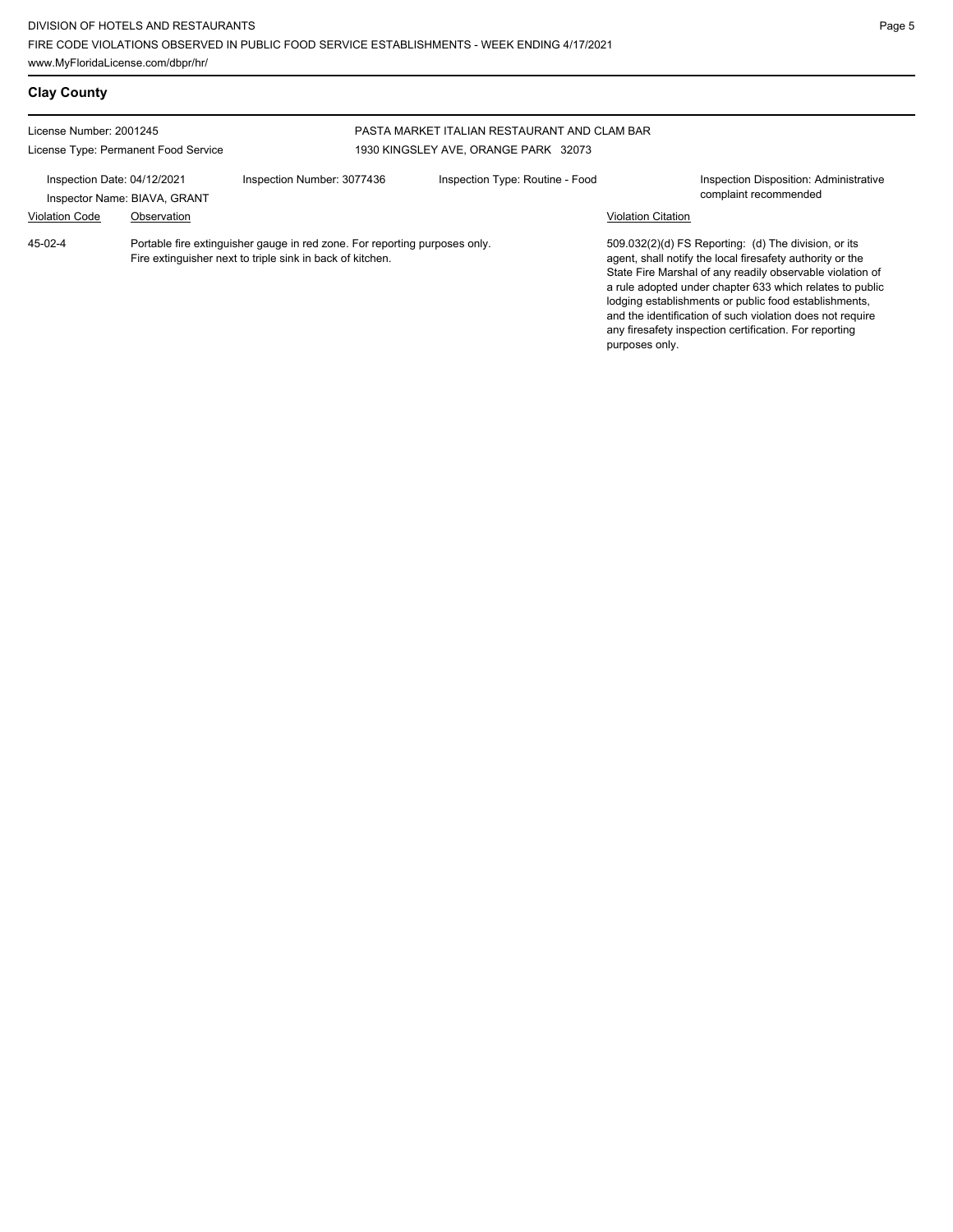| <b>Clay County</b>                                              |                                             |                                                                                                                                         |                                                                                      |                    |                                                                                                                                                                                                                                                                                                                                                                                                                            |
|-----------------------------------------------------------------|---------------------------------------------|-----------------------------------------------------------------------------------------------------------------------------------------|--------------------------------------------------------------------------------------|--------------------|----------------------------------------------------------------------------------------------------------------------------------------------------------------------------------------------------------------------------------------------------------------------------------------------------------------------------------------------------------------------------------------------------------------------------|
| License Number: 2001245<br>License Type: Permanent Food Service |                                             |                                                                                                                                         | PASTA MARKET ITALIAN RESTAURANT AND CLAM BAR<br>1930 KINGSLEY AVE, ORANGE PARK 32073 |                    |                                                                                                                                                                                                                                                                                                                                                                                                                            |
| Inspection Date: 04/12/2021<br><b>Violation Code</b>            | Inspector Name: BIAVA, GRANT<br>Observation | Inspection Number: 3077436                                                                                                              | Inspection Type: Routine - Food                                                      | Violation Citation | Inspection Disposition: Administrative<br>complaint recommended                                                                                                                                                                                                                                                                                                                                                            |
| 45-02-4                                                         |                                             | Portable fire extinguisher gauge in red zone. For reporting purposes only.<br>Fire extinguisher next to triple sink in back of kitchen. |                                                                                      | purposes only.     | 509.032(2)(d) FS Reporting: (d) The division, or its<br>agent, shall notify the local firesafety authority or the<br>State Fire Marshal of any readily observable violation of<br>a rule adopted under chapter 633 which relates to public<br>lodging establishments or public food establishments,<br>and the identification of such violation does not require<br>any firesafety inspection certification. For reporting |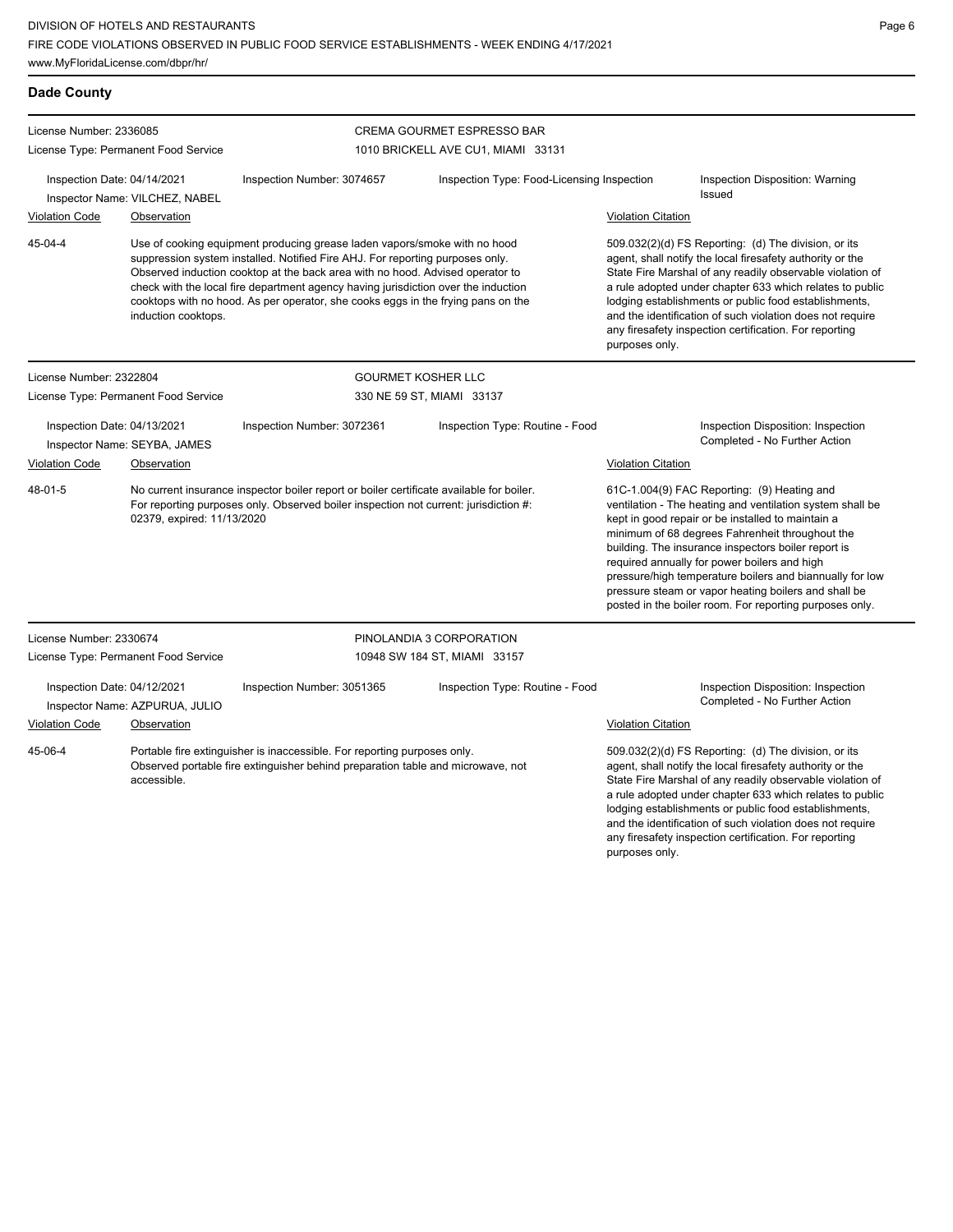| <b>Dade County</b>                                          |                                                                                                                                                                                                                |                                                                                                                                                                                                                                                                                                                                                                                                                       |                                            |                           |                                                                                                                                                                                                                                                                                                                                                                                                                                                                                                        |
|-------------------------------------------------------------|----------------------------------------------------------------------------------------------------------------------------------------------------------------------------------------------------------------|-----------------------------------------------------------------------------------------------------------------------------------------------------------------------------------------------------------------------------------------------------------------------------------------------------------------------------------------------------------------------------------------------------------------------|--------------------------------------------|---------------------------|--------------------------------------------------------------------------------------------------------------------------------------------------------------------------------------------------------------------------------------------------------------------------------------------------------------------------------------------------------------------------------------------------------------------------------------------------------------------------------------------------------|
| License Number: 2336085                                     |                                                                                                                                                                                                                |                                                                                                                                                                                                                                                                                                                                                                                                                       | <b>CREMA GOURMET ESPRESSO BAR</b>          |                           |                                                                                                                                                                                                                                                                                                                                                                                                                                                                                                        |
|                                                             | License Type: Permanent Food Service                                                                                                                                                                           |                                                                                                                                                                                                                                                                                                                                                                                                                       | 1010 BRICKELL AVE CU1, MIAMI 33131         |                           |                                                                                                                                                                                                                                                                                                                                                                                                                                                                                                        |
| Inspection Date: 04/14/2021                                 | Inspector Name: VILCHEZ, NABEL                                                                                                                                                                                 | Inspection Number: 3074657                                                                                                                                                                                                                                                                                                                                                                                            | Inspection Type: Food-Licensing Inspection |                           | Inspection Disposition: Warning<br>Issued                                                                                                                                                                                                                                                                                                                                                                                                                                                              |
| <b>Violation Code</b>                                       | Observation                                                                                                                                                                                                    |                                                                                                                                                                                                                                                                                                                                                                                                                       |                                            | <b>Violation Citation</b> |                                                                                                                                                                                                                                                                                                                                                                                                                                                                                                        |
| 45-04-4                                                     | induction cooktops.                                                                                                                                                                                            | Use of cooking equipment producing grease laden vapors/smoke with no hood<br>suppression system installed. Notified Fire AHJ. For reporting purposes only.<br>Observed induction cooktop at the back area with no hood. Advised operator to<br>check with the local fire department agency having jurisdiction over the induction<br>cooktops with no hood. As per operator, she cooks eggs in the frying pans on the |                                            | purposes only.            | 509.032(2)(d) FS Reporting: (d) The division, or its<br>agent, shall notify the local firesafety authority or the<br>State Fire Marshal of any readily observable violation of<br>a rule adopted under chapter 633 which relates to public<br>lodging establishments or public food establishments,<br>and the identification of such violation does not require<br>any firesafety inspection certification. For reporting                                                                             |
| License Number: 2322804                                     |                                                                                                                                                                                                                |                                                                                                                                                                                                                                                                                                                                                                                                                       | <b>GOURMET KOSHER LLC</b>                  |                           |                                                                                                                                                                                                                                                                                                                                                                                                                                                                                                        |
|                                                             | License Type: Permanent Food Service                                                                                                                                                                           |                                                                                                                                                                                                                                                                                                                                                                                                                       | 330 NE 59 ST, MIAMI 33137                  |                           |                                                                                                                                                                                                                                                                                                                                                                                                                                                                                                        |
| Inspection Date: 04/13/2021<br>Inspector Name: SEYBA, JAMES |                                                                                                                                                                                                                | Inspection Number: 3072361                                                                                                                                                                                                                                                                                                                                                                                            | Inspection Type: Routine - Food            |                           | Inspection Disposition: Inspection<br>Completed - No Further Action                                                                                                                                                                                                                                                                                                                                                                                                                                    |
| Violation Code                                              | Observation                                                                                                                                                                                                    |                                                                                                                                                                                                                                                                                                                                                                                                                       |                                            | Violation Citation        |                                                                                                                                                                                                                                                                                                                                                                                                                                                                                                        |
| 48-01-5                                                     | No current insurance inspector boiler report or boiler certificate available for boiler.<br>For reporting purposes only. Observed boiler inspection not current: jurisdiction #:<br>02379, expired: 11/13/2020 |                                                                                                                                                                                                                                                                                                                                                                                                                       |                                            |                           | 61C-1.004(9) FAC Reporting: (9) Heating and<br>ventilation - The heating and ventilation system shall be<br>kept in good repair or be installed to maintain a<br>minimum of 68 degrees Fahrenheit throughout the<br>building. The insurance inspectors boiler report is<br>required annually for power boilers and high<br>pressure/high temperature boilers and biannually for low<br>pressure steam or vapor heating boilers and shall be<br>posted in the boiler room. For reporting purposes only. |
| License Number: 2330674                                     |                                                                                                                                                                                                                |                                                                                                                                                                                                                                                                                                                                                                                                                       | PINOLANDIA 3 CORPORATION                   |                           |                                                                                                                                                                                                                                                                                                                                                                                                                                                                                                        |
|                                                             | License Type: Permanent Food Service                                                                                                                                                                           |                                                                                                                                                                                                                                                                                                                                                                                                                       | 10948 SW 184 ST, MIAMI 33157               |                           |                                                                                                                                                                                                                                                                                                                                                                                                                                                                                                        |
| Inspection Date: 04/12/2021                                 | Inspector Name: AZPURUA, JULIO                                                                                                                                                                                 | Inspection Number: 3051365                                                                                                                                                                                                                                                                                                                                                                                            | Inspection Type: Routine - Food            |                           | Inspection Disposition: Inspection<br>Completed - No Further Action                                                                                                                                                                                                                                                                                                                                                                                                                                    |
| <b>Violation Code</b>                                       | Observation                                                                                                                                                                                                    |                                                                                                                                                                                                                                                                                                                                                                                                                       |                                            | <b>Violation Citation</b> |                                                                                                                                                                                                                                                                                                                                                                                                                                                                                                        |
| 45-06-4                                                     | accessible.                                                                                                                                                                                                    | Portable fire extinguisher is inaccessible. For reporting purposes only.<br>Observed portable fire extinguisher behind preparation table and microwave, not                                                                                                                                                                                                                                                           |                                            | purposes only.            | 509.032(2)(d) FS Reporting: (d) The division, or its<br>agent, shall notify the local firesafety authority or the<br>State Fire Marshal of any readily observable violation of<br>a rule adopted under chapter 633 which relates to public<br>lodging establishments or public food establishments,<br>and the identification of such violation does not require<br>any firesafety inspection certification. For reporting                                                                             |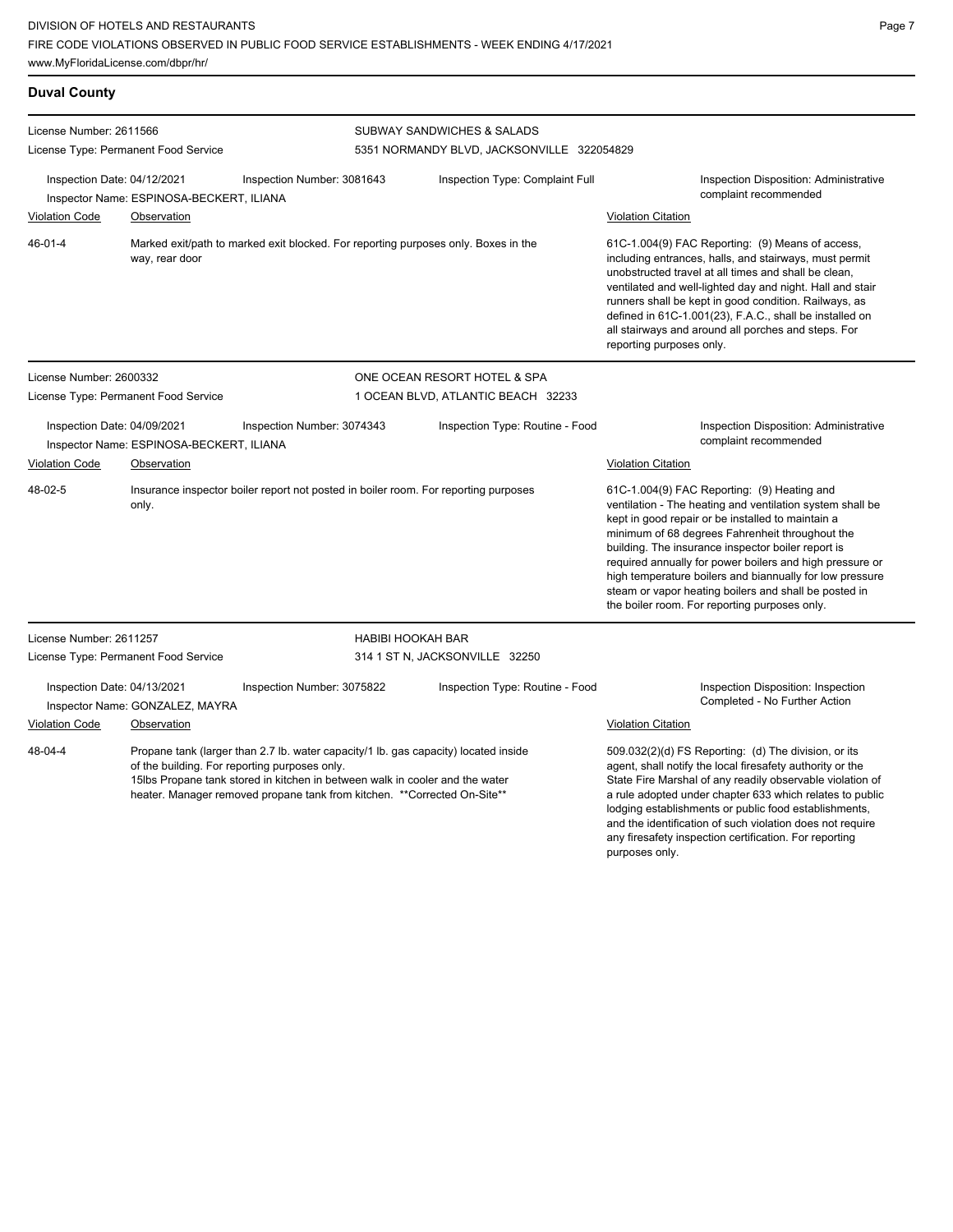www.MyFloridaLicense.com/dbpr/hr/

**Duval County**

any firesafety inspection certification. For reporting

| License Number: 2611566                                                                                                                                                                                                                                                                                     |                                          |                                                                                     | SUBWAY SANDWICHES & SALADS                 |                                                                                                                                                                                                                                                                                                                                                                                                                                                                                                          |  |  |
|-------------------------------------------------------------------------------------------------------------------------------------------------------------------------------------------------------------------------------------------------------------------------------------------------------------|------------------------------------------|-------------------------------------------------------------------------------------|--------------------------------------------|----------------------------------------------------------------------------------------------------------------------------------------------------------------------------------------------------------------------------------------------------------------------------------------------------------------------------------------------------------------------------------------------------------------------------------------------------------------------------------------------------------|--|--|
| License Type: Permanent Food Service                                                                                                                                                                                                                                                                        |                                          |                                                                                     | 5351 NORMANDY BLVD, JACKSONVILLE 322054829 |                                                                                                                                                                                                                                                                                                                                                                                                                                                                                                          |  |  |
| Inspection Date: 04/12/2021                                                                                                                                                                                                                                                                                 | Inspector Name: ESPINOSA-BECKERT, ILIANA | Inspection Number: 3081643                                                          | Inspection Type: Complaint Full            | <b>Inspection Disposition: Administrative</b><br>complaint recommended                                                                                                                                                                                                                                                                                                                                                                                                                                   |  |  |
| <b>Violation Code</b>                                                                                                                                                                                                                                                                                       | Observation                              |                                                                                     |                                            | <b>Violation Citation</b>                                                                                                                                                                                                                                                                                                                                                                                                                                                                                |  |  |
| 46-01-4                                                                                                                                                                                                                                                                                                     | way, rear door                           | Marked exit/path to marked exit blocked. For reporting purposes only. Boxes in the  |                                            | 61C-1.004(9) FAC Reporting: (9) Means of access,<br>including entrances, halls, and stairways, must permit<br>unobstructed travel at all times and shall be clean,<br>ventilated and well-lighted day and night. Hall and stair<br>runners shall be kept in good condition. Railways, as<br>defined in 61C-1.001(23), F.A.C., shall be installed on<br>all stairways and around all porches and steps. For<br>reporting purposes only.                                                                   |  |  |
| License Number: 2600332                                                                                                                                                                                                                                                                                     |                                          |                                                                                     | ONE OCEAN RESORT HOTEL & SPA               |                                                                                                                                                                                                                                                                                                                                                                                                                                                                                                          |  |  |
|                                                                                                                                                                                                                                                                                                             | License Type: Permanent Food Service     |                                                                                     | 1 OCEAN BLVD, ATLANTIC BEACH 32233         |                                                                                                                                                                                                                                                                                                                                                                                                                                                                                                          |  |  |
| Inspection Date: 04/09/2021                                                                                                                                                                                                                                                                                 | Inspector Name: ESPINOSA-BECKERT, ILIANA | Inspection Number: 3074343                                                          | Inspection Type: Routine - Food            | <b>Inspection Disposition: Administrative</b><br>complaint recommended                                                                                                                                                                                                                                                                                                                                                                                                                                   |  |  |
| Violation Code                                                                                                                                                                                                                                                                                              | Observation                              |                                                                                     |                                            | Violation Citation                                                                                                                                                                                                                                                                                                                                                                                                                                                                                       |  |  |
| 48-02-5                                                                                                                                                                                                                                                                                                     | only.                                    | Insurance inspector boiler report not posted in boiler room. For reporting purposes |                                            | 61C-1.004(9) FAC Reporting: (9) Heating and<br>ventilation - The heating and ventilation system shall be<br>kept in good repair or be installed to maintain a<br>minimum of 68 degrees Fahrenheit throughout the<br>building. The insurance inspector boiler report is<br>required annually for power boilers and high pressure or<br>high temperature boilers and biannually for low pressure<br>steam or vapor heating boilers and shall be posted in<br>the boiler room. For reporting purposes only. |  |  |
| License Number: 2611257                                                                                                                                                                                                                                                                                     |                                          |                                                                                     | <b>HABIBI HOOKAH BAR</b>                   |                                                                                                                                                                                                                                                                                                                                                                                                                                                                                                          |  |  |
|                                                                                                                                                                                                                                                                                                             | License Type: Permanent Food Service     |                                                                                     | 314 1 ST N, JACKSONVILLE 32250             |                                                                                                                                                                                                                                                                                                                                                                                                                                                                                                          |  |  |
| Inspection Date: 04/13/2021                                                                                                                                                                                                                                                                                 | Inspector Name: GONZALEZ, MAYRA          | Inspection Number: 3075822                                                          | Inspection Type: Routine - Food            | Inspection Disposition: Inspection<br>Completed - No Further Action                                                                                                                                                                                                                                                                                                                                                                                                                                      |  |  |
| <b>Violation Code</b>                                                                                                                                                                                                                                                                                       | <b>Observation</b>                       |                                                                                     |                                            | <b>Violation Citation</b>                                                                                                                                                                                                                                                                                                                                                                                                                                                                                |  |  |
| 48-04-4<br>Propane tank (larger than 2.7 lb. water capacity/1 lb. gas capacity) located inside<br>of the building. For reporting purposes only.<br>15lbs Propane tank stored in kitchen in between walk in cooler and the water<br>heater. Manager removed propane tank from kitchen. **Corrected On-Site** |                                          |                                                                                     |                                            | 509.032(2)(d) FS Reporting: (d) The division, or its<br>agent, shall notify the local firesafety authority or the<br>State Fire Marshal of any readily observable violation of<br>a rule adopted under chapter 633 which relates to public<br>lodging establishments or public food establishments,<br>and the identification of such violation does not require                                                                                                                                         |  |  |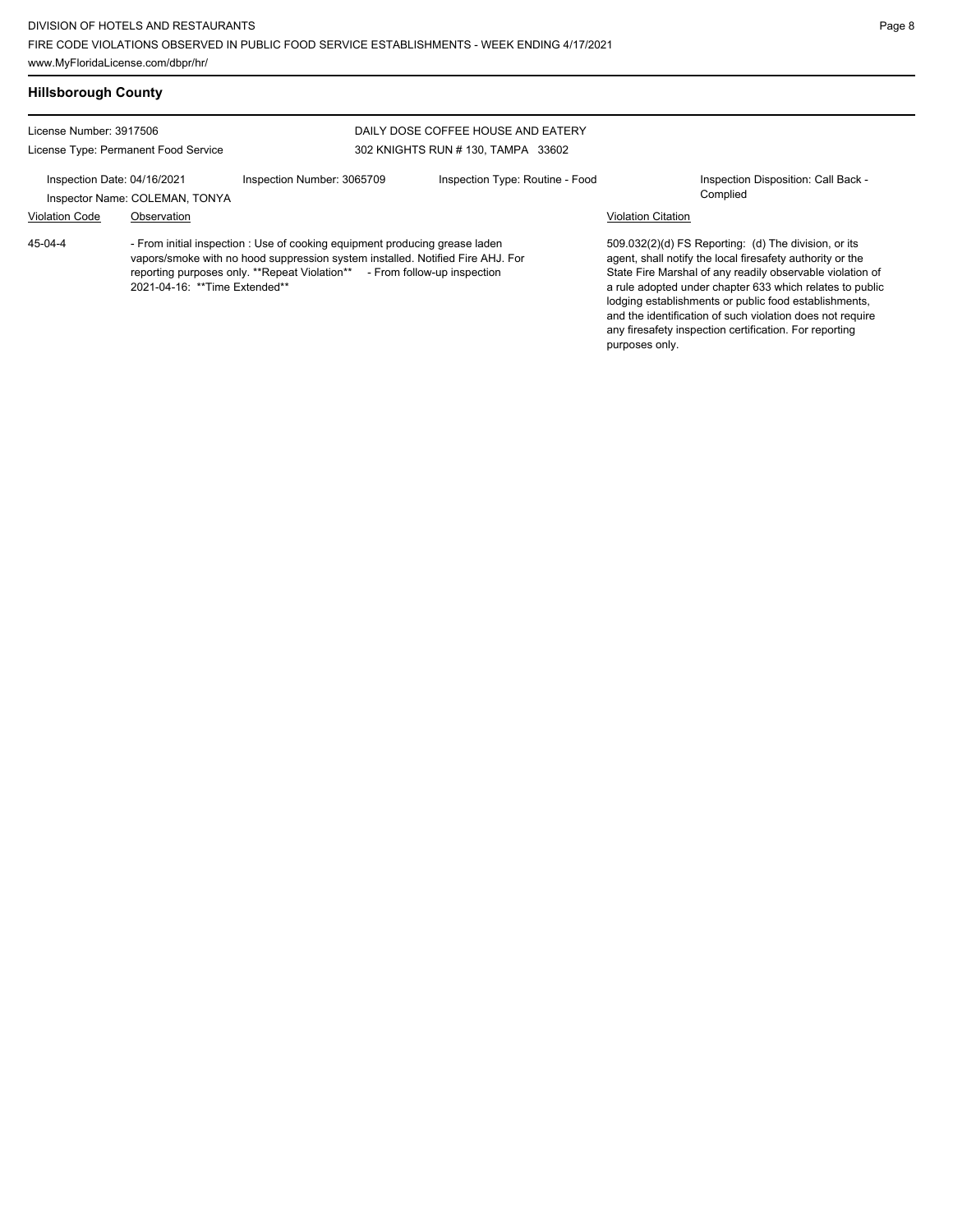Violation Code Observation Violation Citation

# **Hillsborough County**

License Number: 3917506 License Type: Permanent Food Service

#### DAILY DOSE COFFEE HOUSE AND EATERY 302 KNIGHTS RUN # 130, TAMPA 33602

Inspection Date: 04/16/2021 Inspection Number: 3065709 Inspection Type: Routine - Food Inspection Disposition: Call Back -Inspector Name: COLEMAN, TONYA

- From initial inspection : Use of cooking equipment producing grease laden vapors/smoke with no hood suppression system installed. Notified Fire AHJ. For reporting purposes only. \*\*Repeat Violation\*\* - From follow-up inspection 2021-04-16: \*\*Time Extended\*\* 45-04-4

509.032(2)(d) FS Reporting: (d) The division, or its agent, shall notify the local firesafety authority or the State Fire Marshal of any readily observable violation of a rule adopted under chapter 633 which relates to public lodging establishments or public food establishments, and the identification of such violation does not require any firesafety inspection certification. For reporting purposes only.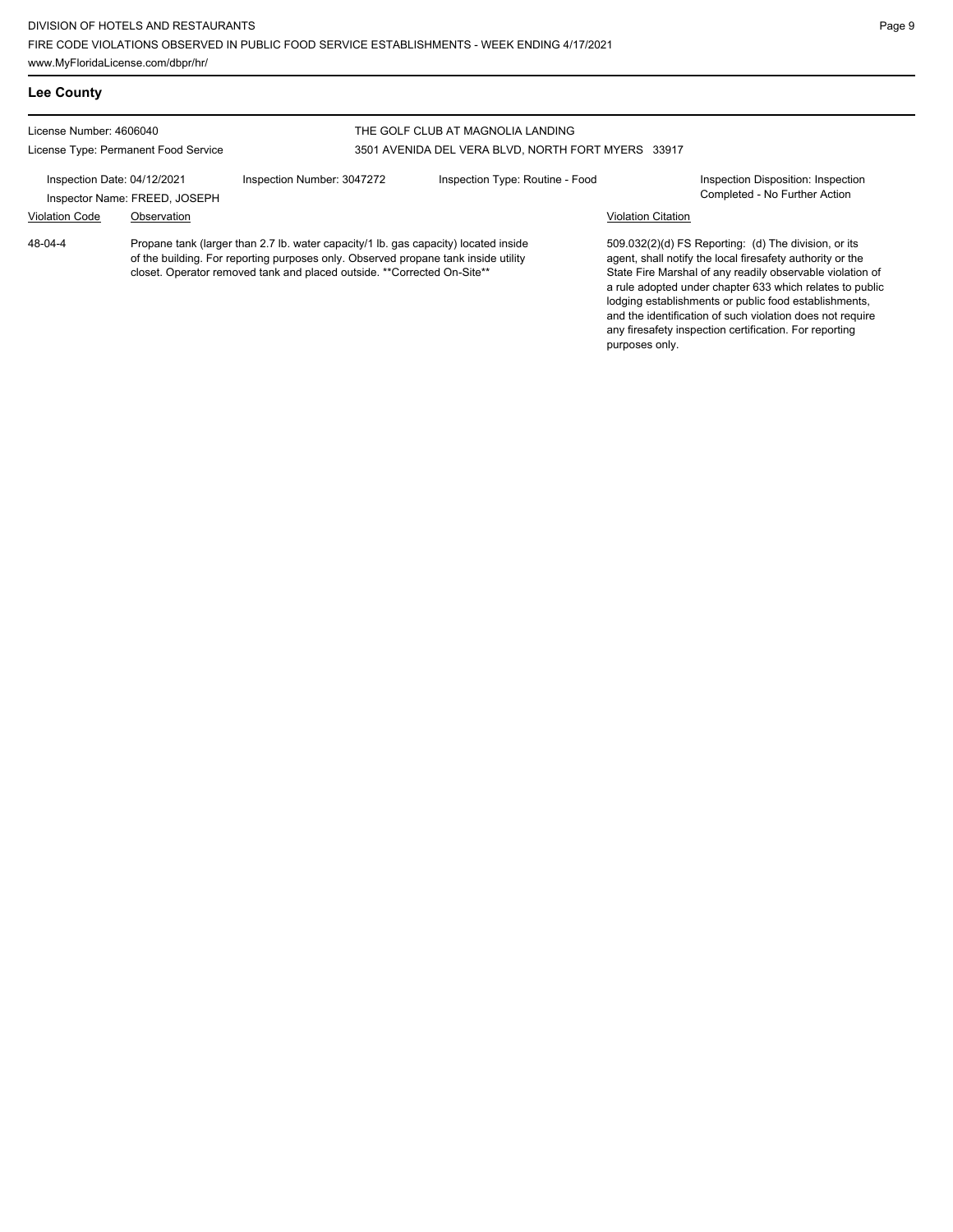| <b>Lee County</b>                                               |                               |                                                                                                                                                                                                                                                      |                                   |                           |                                                                                                                                                                                                                                                                                                                                                                                                                            |
|-----------------------------------------------------------------|-------------------------------|------------------------------------------------------------------------------------------------------------------------------------------------------------------------------------------------------------------------------------------------------|-----------------------------------|---------------------------|----------------------------------------------------------------------------------------------------------------------------------------------------------------------------------------------------------------------------------------------------------------------------------------------------------------------------------------------------------------------------------------------------------------------------|
| License Number: 4606040<br>License Type: Permanent Food Service |                               |                                                                                                                                                                                                                                                      | THE GOLF CLUB AT MAGNOLIA LANDING |                           |                                                                                                                                                                                                                                                                                                                                                                                                                            |
|                                                                 |                               | 3501 AVENIDA DEL VERA BLVD, NORTH FORT MYERS 33917                                                                                                                                                                                                   |                                   |                           |                                                                                                                                                                                                                                                                                                                                                                                                                            |
| Inspection Date: 04/12/2021                                     | Inspector Name: FREED, JOSEPH | Inspection Number: 3047272                                                                                                                                                                                                                           | Inspection Type: Routine - Food   |                           | Inspection Disposition: Inspection<br>Completed - No Further Action                                                                                                                                                                                                                                                                                                                                                        |
| <b>Violation Code</b>                                           | Observation                   |                                                                                                                                                                                                                                                      |                                   | <b>Violation Citation</b> |                                                                                                                                                                                                                                                                                                                                                                                                                            |
| 48-04-4                                                         |                               | Propane tank (larger than 2.7 lb. water capacity/1 lb. gas capacity) located inside<br>of the building. For reporting purposes only. Observed propane tank inside utility<br>closet. Operator removed tank and placed outside. **Corrected On-Site** |                                   |                           | 509.032(2)(d) FS Reporting: (d) The division, or its<br>agent, shall notify the local firesafety authority or the<br>State Fire Marshal of any readily observable violation of<br>a rule adopted under chapter 633 which relates to public<br>lodging establishments or public food establishments,<br>and the identification of such violation does not require<br>any firesafety inspection certification. For reporting |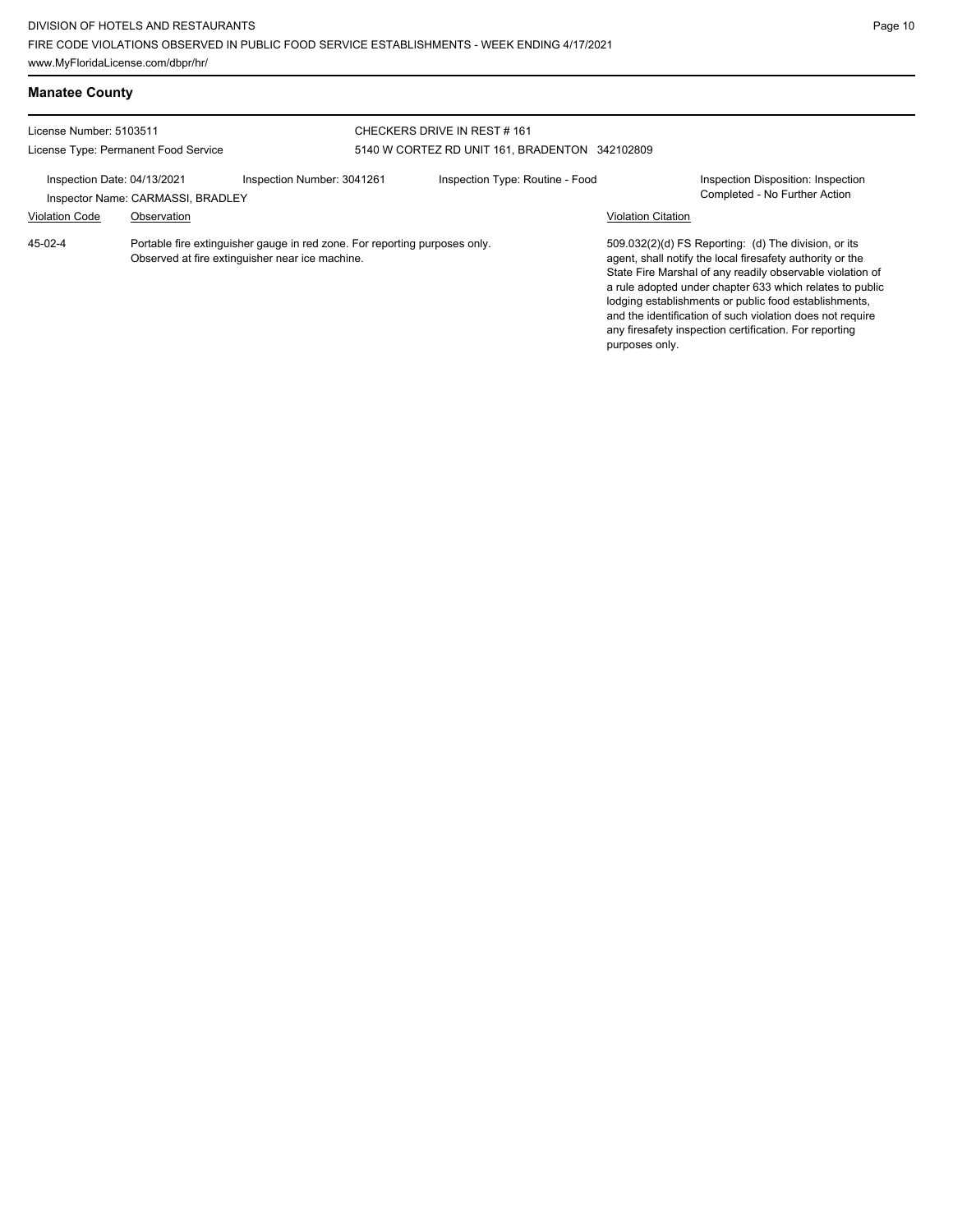| <b>Manatee County</b>       |                                      |                                                                                                                               |                                                                              |                                 |                           |                                                                                                                                                                                                                                                                                                                                                                                                                            |
|-----------------------------|--------------------------------------|-------------------------------------------------------------------------------------------------------------------------------|------------------------------------------------------------------------------|---------------------------------|---------------------------|----------------------------------------------------------------------------------------------------------------------------------------------------------------------------------------------------------------------------------------------------------------------------------------------------------------------------------------------------------------------------------------------------------------------------|
| License Number: 5103511     |                                      |                                                                                                                               | CHECKERS DRIVE IN REST#161<br>5140 W CORTEZ RD UNIT 161, BRADENTON 342102809 |                                 |                           |                                                                                                                                                                                                                                                                                                                                                                                                                            |
|                             | License Type: Permanent Food Service |                                                                                                                               |                                                                              |                                 |                           |                                                                                                                                                                                                                                                                                                                                                                                                                            |
| Inspection Date: 04/13/2021 | Inspector Name: CARMASSI, BRADLEY    | Inspection Number: 3041261                                                                                                    |                                                                              | Inspection Type: Routine - Food |                           | <b>Inspection Disposition: Inspection</b><br>Completed - No Further Action                                                                                                                                                                                                                                                                                                                                                 |
| <b>Violation Code</b>       | Observation                          |                                                                                                                               |                                                                              |                                 | <b>Violation Citation</b> |                                                                                                                                                                                                                                                                                                                                                                                                                            |
| 45-02-4                     |                                      | Portable fire extinguisher gauge in red zone. For reporting purposes only.<br>Observed at fire extinguisher near ice machine. |                                                                              |                                 | purposes only.            | 509.032(2)(d) FS Reporting: (d) The division, or its<br>agent, shall notify the local firesafety authority or the<br>State Fire Marshal of any readily observable violation of<br>a rule adopted under chapter 633 which relates to public<br>lodging establishments or public food establishments.<br>and the identification of such violation does not require<br>any firesafety inspection certification. For reporting |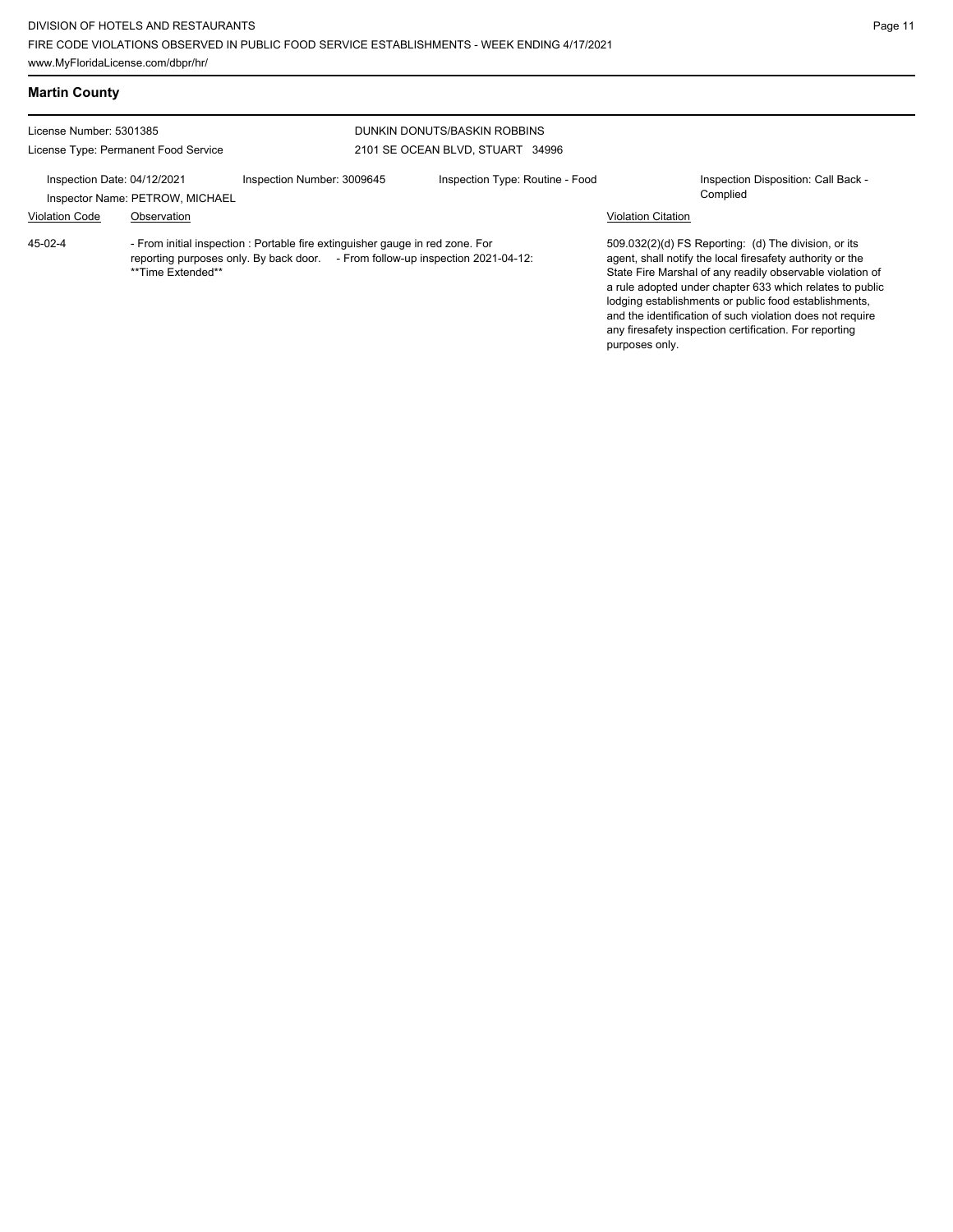| <b>Martin County</b>                                            |                                                |                                                                                                                                                                 |                                                                  |                           |                                                                                                                                                                                                                                                                                                                                                                                                                            |
|-----------------------------------------------------------------|------------------------------------------------|-----------------------------------------------------------------------------------------------------------------------------------------------------------------|------------------------------------------------------------------|---------------------------|----------------------------------------------------------------------------------------------------------------------------------------------------------------------------------------------------------------------------------------------------------------------------------------------------------------------------------------------------------------------------------------------------------------------------|
| License Number: 5301385<br>License Type: Permanent Food Service |                                                |                                                                                                                                                                 | DUNKIN DONUTS/BASKIN ROBBINS<br>2101 SE OCEAN BLVD, STUART 34996 |                           |                                                                                                                                                                                                                                                                                                                                                                                                                            |
| Inspection Date: 04/12/2021<br><b>Violation Code</b>            | Inspector Name: PETROW, MICHAEL<br>Observation | Inspection Number: 3009645                                                                                                                                      | Inspection Type: Routine - Food                                  | <b>Violation Citation</b> | Inspection Disposition: Call Back -<br>Complied                                                                                                                                                                                                                                                                                                                                                                            |
| 45-02-4                                                         | **Time Extended**                              | - From initial inspection : Portable fire extinguisher gauge in red zone. For<br>reporting purposes only. By back door. - From follow-up inspection 2021-04-12: |                                                                  | purposes only.            | 509.032(2)(d) FS Reporting: (d) The division, or its<br>agent, shall notify the local firesafety authority or the<br>State Fire Marshal of any readily observable violation of<br>a rule adopted under chapter 633 which relates to public<br>lodging establishments or public food establishments,<br>and the identification of such violation does not require<br>any firesafety inspection certification. For reporting |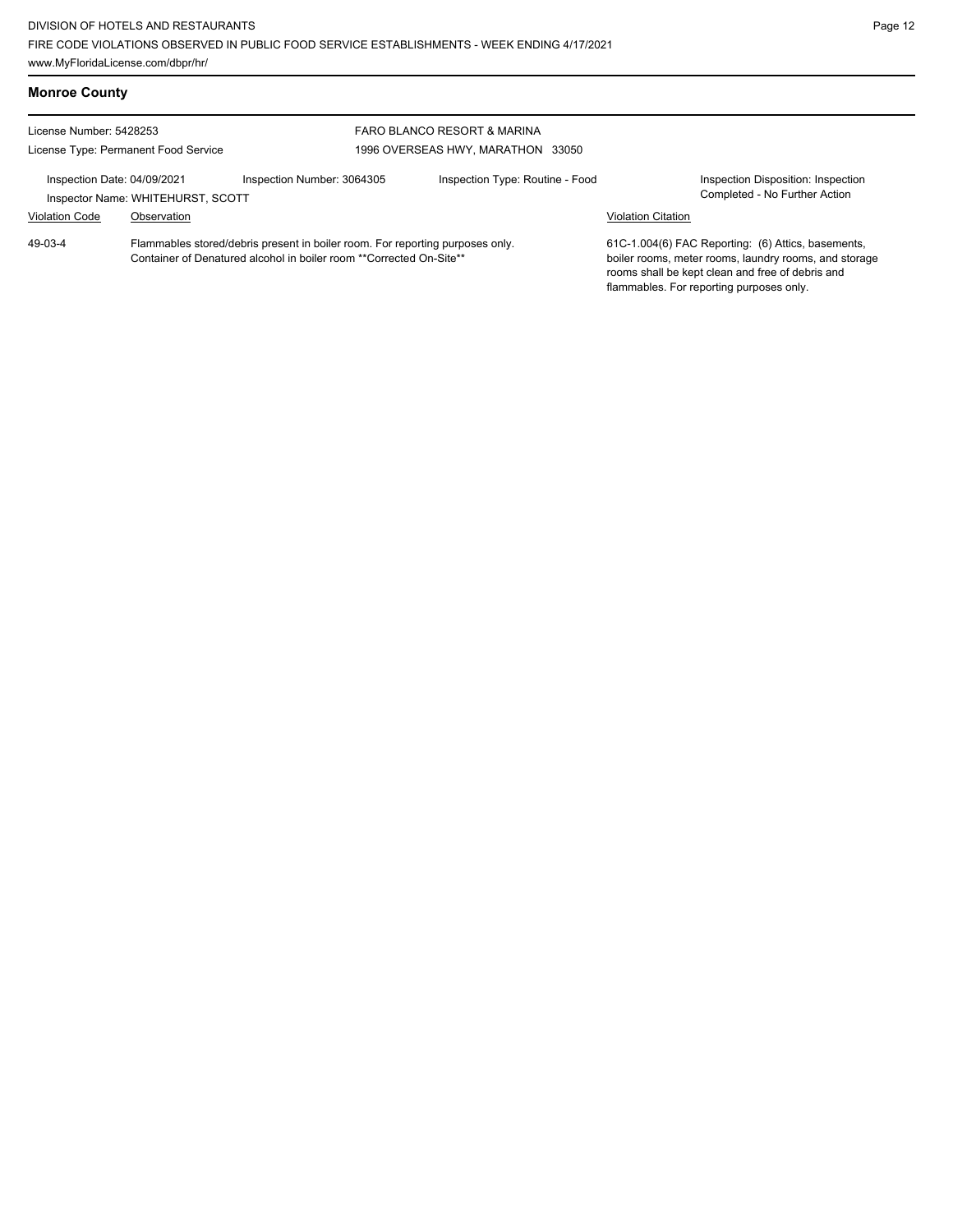| <b>Monroe County</b>                                                                                                                                              |             |                                   |                                 |                                                                                                                                                                                                             |                                                                     |
|-------------------------------------------------------------------------------------------------------------------------------------------------------------------|-------------|-----------------------------------|---------------------------------|-------------------------------------------------------------------------------------------------------------------------------------------------------------------------------------------------------------|---------------------------------------------------------------------|
| License Number: 5428253                                                                                                                                           |             | FARO BLANCO RESORT & MARINA       |                                 |                                                                                                                                                                                                             |                                                                     |
| License Type: Permanent Food Service                                                                                                                              |             | 1996 OVERSEAS HWY, MARATHON 33050 |                                 |                                                                                                                                                                                                             |                                                                     |
| Inspection Date: 04/09/2021<br>Inspector Name: WHITEHURST, SCOTT                                                                                                  |             | Inspection Number: 3064305        | Inspection Type: Routine - Food |                                                                                                                                                                                                             | Inspection Disposition: Inspection<br>Completed - No Further Action |
| <b>Violation Code</b>                                                                                                                                             | Observation |                                   |                                 | <b>Violation Citation</b>                                                                                                                                                                                   |                                                                     |
| $49-03-4$<br>Flammables stored/debris present in boiler room. For reporting purposes only.<br>Container of Denatured alcohol in boiler room **Corrected On-Site** |             |                                   |                                 | 61C-1.004(6) FAC Reporting: (6) Attics, basements,<br>boiler rooms, meter rooms, laundry rooms, and storage<br>rooms shall be kept clean and free of debris and<br>flammables. For reporting purposes only. |                                                                     |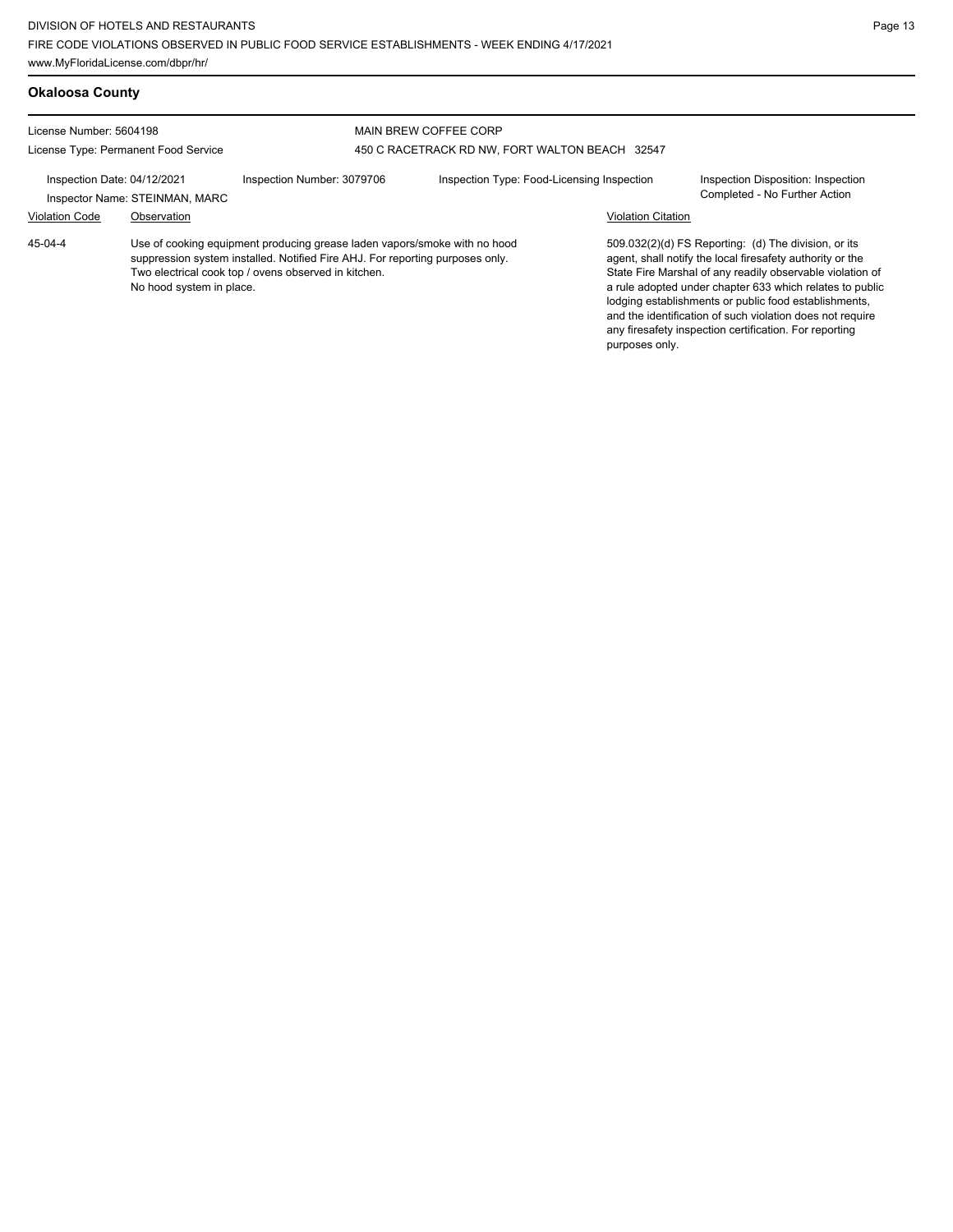| <b>Okaloosa County</b>                                          |                                |                                                                                                                                                                                                                    |                                                                                |                           |                                                                                                                                                                                                                                                                                                                                                                                                                            |
|-----------------------------------------------------------------|--------------------------------|--------------------------------------------------------------------------------------------------------------------------------------------------------------------------------------------------------------------|--------------------------------------------------------------------------------|---------------------------|----------------------------------------------------------------------------------------------------------------------------------------------------------------------------------------------------------------------------------------------------------------------------------------------------------------------------------------------------------------------------------------------------------------------------|
| License Number: 5604198<br>License Type: Permanent Food Service |                                |                                                                                                                                                                                                                    | <b>MAIN BREW COFFEE CORP</b><br>450 C RACETRACK RD NW, FORT WALTON BEACH 32547 |                           |                                                                                                                                                                                                                                                                                                                                                                                                                            |
| Inspection Date: 04/12/2021                                     | Inspector Name: STEINMAN, MARC | Inspection Number: 3079706                                                                                                                                                                                         | Inspection Type: Food-Licensing Inspection                                     |                           | Inspection Disposition: Inspection<br>Completed - No Further Action                                                                                                                                                                                                                                                                                                                                                        |
| <b>Violation Code</b>                                           | Observation                    |                                                                                                                                                                                                                    |                                                                                | <b>Violation Citation</b> |                                                                                                                                                                                                                                                                                                                                                                                                                            |
| 45-04-4                                                         | No hood system in place.       | Use of cooking equipment producing grease laden vapors/smoke with no hood<br>suppression system installed. Notified Fire AHJ. For reporting purposes only.<br>Two electrical cook top / ovens observed in kitchen. |                                                                                | purposes only.            | 509.032(2)(d) FS Reporting: (d) The division, or its<br>agent, shall notify the local firesafety authority or the<br>State Fire Marshal of any readily observable violation of<br>a rule adopted under chapter 633 which relates to public<br>lodging establishments or public food establishments,<br>and the identification of such violation does not require<br>any firesafety inspection certification. For reporting |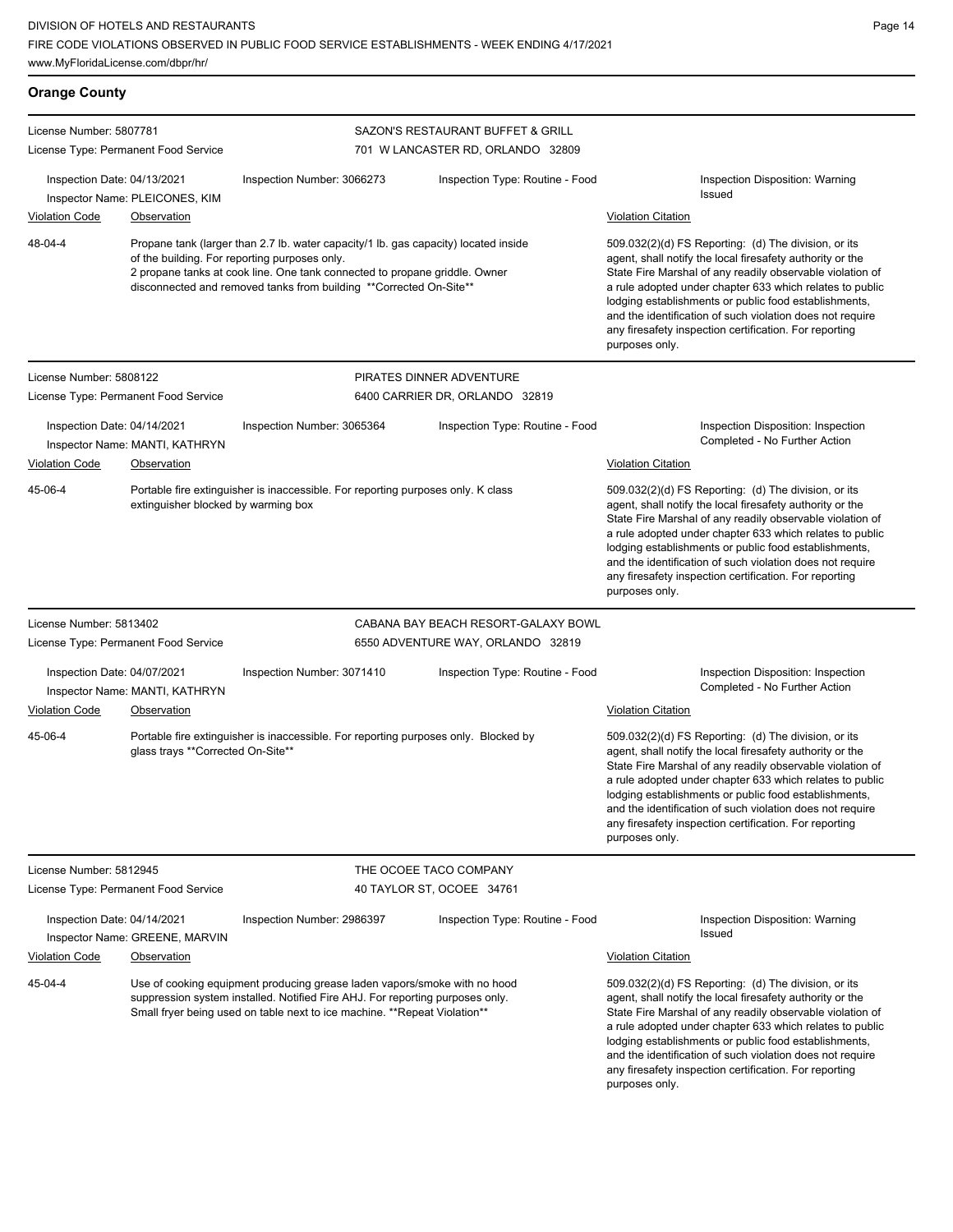| <b>Orange County</b>                                                                                                                                                                                                                               |                                               |                                                                                                                                                                                                                                                                                                                                                                                                                                              |                                                                        |                                                                                                                                                                                                                                                                                                                                                                                                                                              |
|----------------------------------------------------------------------------------------------------------------------------------------------------------------------------------------------------------------------------------------------------|-----------------------------------------------|----------------------------------------------------------------------------------------------------------------------------------------------------------------------------------------------------------------------------------------------------------------------------------------------------------------------------------------------------------------------------------------------------------------------------------------------|------------------------------------------------------------------------|----------------------------------------------------------------------------------------------------------------------------------------------------------------------------------------------------------------------------------------------------------------------------------------------------------------------------------------------------------------------------------------------------------------------------------------------|
| License Number: 5807781<br>License Type: Permanent Food Service                                                                                                                                                                                    |                                               |                                                                                                                                                                                                                                                                                                                                                                                                                                              | SAZON'S RESTAURANT BUFFET & GRILL<br>701 W LANCASTER RD, ORLANDO 32809 |                                                                                                                                                                                                                                                                                                                                                                                                                                              |
| Inspection Date: 04/13/2021                                                                                                                                                                                                                        | Inspector Name: PLEICONES, KIM                | Inspection Number: 3066273                                                                                                                                                                                                                                                                                                                                                                                                                   | Inspection Type: Routine - Food                                        | <b>Inspection Disposition: Warning</b><br>Issued                                                                                                                                                                                                                                                                                                                                                                                             |
| <b>Violation Code</b>                                                                                                                                                                                                                              | Observation                                   |                                                                                                                                                                                                                                                                                                                                                                                                                                              |                                                                        | <b>Violation Citation</b>                                                                                                                                                                                                                                                                                                                                                                                                                    |
| 48-04-4                                                                                                                                                                                                                                            |                                               | Propane tank (larger than 2.7 lb. water capacity/1 lb. gas capacity) located inside<br>of the building. For reporting purposes only.<br>2 propane tanks at cook line. One tank connected to propane griddle. Owner<br>disconnected and removed tanks from building **Corrected On-Site**                                                                                                                                                     |                                                                        | 509.032(2)(d) FS Reporting: (d) The division, or its<br>agent, shall notify the local firesafety authority or the<br>State Fire Marshal of any readily observable violation of<br>a rule adopted under chapter 633 which relates to public<br>lodging establishments or public food establishments,<br>and the identification of such violation does not require<br>any firesafety inspection certification. For reporting<br>purposes only. |
| License Number: 5808122                                                                                                                                                                                                                            |                                               |                                                                                                                                                                                                                                                                                                                                                                                                                                              | PIRATES DINNER ADVENTURE                                               |                                                                                                                                                                                                                                                                                                                                                                                                                                              |
| License Type: Permanent Food Service                                                                                                                                                                                                               |                                               |                                                                                                                                                                                                                                                                                                                                                                                                                                              | 6400 CARRIER DR, ORLANDO 32819                                         |                                                                                                                                                                                                                                                                                                                                                                                                                                              |
| Inspection Date: 04/14/2021<br><b>Violation Code</b>                                                                                                                                                                                               | Inspector Name: MANTI, KATHRYN<br>Observation | Inspection Number: 3065364                                                                                                                                                                                                                                                                                                                                                                                                                   | Inspection Type: Routine - Food                                        | Inspection Disposition: Inspection<br>Completed - No Further Action<br><b>Violation Citation</b>                                                                                                                                                                                                                                                                                                                                             |
| 45-06-4                                                                                                                                                                                                                                            | extinguisher blocked by warming box           | Portable fire extinguisher is inaccessible. For reporting purposes only. K class                                                                                                                                                                                                                                                                                                                                                             |                                                                        | 509.032(2)(d) FS Reporting: (d) The division, or its<br>agent, shall notify the local firesafety authority or the<br>State Fire Marshal of any readily observable violation of<br>a rule adopted under chapter 633 which relates to public<br>lodging establishments or public food establishments,<br>and the identification of such violation does not require<br>any firesafety inspection certification. For reporting<br>purposes only. |
| License Number: 5813402                                                                                                                                                                                                                            |                                               |                                                                                                                                                                                                                                                                                                                                                                                                                                              | CABANA BAY BEACH RESORT-GALAXY BOWL                                    |                                                                                                                                                                                                                                                                                                                                                                                                                                              |
| License Type: Permanent Food Service                                                                                                                                                                                                               |                                               |                                                                                                                                                                                                                                                                                                                                                                                                                                              | 6550 ADVENTURE WAY, ORLANDO 32819                                      |                                                                                                                                                                                                                                                                                                                                                                                                                                              |
| Inspection Date: 04/07/2021<br><b>Violation Code</b>                                                                                                                                                                                               | Inspector Name: MANTI, KATHRYN<br>Observation | Inspection Number: 3071410                                                                                                                                                                                                                                                                                                                                                                                                                   | Inspection Type: Routine - Food                                        | Inspection Disposition: Inspection<br>Completed - No Further Action<br><b>Violation Citation</b>                                                                                                                                                                                                                                                                                                                                             |
| 45-06-4                                                                                                                                                                                                                                            | glass trays **Corrected On-Site**             | Portable fire extinguisher is inaccessible. For reporting purposes only. Blocked by                                                                                                                                                                                                                                                                                                                                                          |                                                                        | 509.032(2)(d) FS Reporting: (d) The division, or its<br>agent, shall notify the local firesafety authority or the<br>State Fire Marshal of any readily observable violation of<br>a rule adopted under chapter 633 which relates to public<br>lodging establishments or public food establishments,<br>and the identification of such violation does not require<br>any firesafety inspection certification. For reporting<br>purposes only. |
| License Number: 5812945                                                                                                                                                                                                                            |                                               |                                                                                                                                                                                                                                                                                                                                                                                                                                              | THE OCOEE TACO COMPANY                                                 |                                                                                                                                                                                                                                                                                                                                                                                                                                              |
| License Type: Permanent Food Service                                                                                                                                                                                                               |                                               |                                                                                                                                                                                                                                                                                                                                                                                                                                              | 40 TAYLOR ST, OCOEE 34761                                              |                                                                                                                                                                                                                                                                                                                                                                                                                                              |
| Inspection Date: 04/14/2021                                                                                                                                                                                                                        | Inspector Name: GREENE, MARVIN                | Inspection Number: 2986397                                                                                                                                                                                                                                                                                                                                                                                                                   | Inspection Type: Routine - Food                                        | <b>Inspection Disposition: Warning</b><br>Issued                                                                                                                                                                                                                                                                                                                                                                                             |
| <b>Violation Code</b>                                                                                                                                                                                                                              | Observation                                   |                                                                                                                                                                                                                                                                                                                                                                                                                                              |                                                                        | <b>Violation Citation</b>                                                                                                                                                                                                                                                                                                                                                                                                                    |
| 45-04-4<br>Use of cooking equipment producing grease laden vapors/smoke with no hood<br>suppression system installed. Notified Fire AHJ. For reporting purposes only.<br>Small fryer being used on table next to ice machine. **Repeat Violation** |                                               | 509.032(2)(d) FS Reporting: (d) The division, or its<br>agent, shall notify the local firesafety authority or the<br>State Fire Marshal of any readily observable violation of<br>a rule adopted under chapter 633 which relates to public<br>lodging establishments or public food establishments,<br>and the identification of such violation does not require<br>any firesafety inspection certification. For reporting<br>purposes only. |                                                                        |                                                                                                                                                                                                                                                                                                                                                                                                                                              |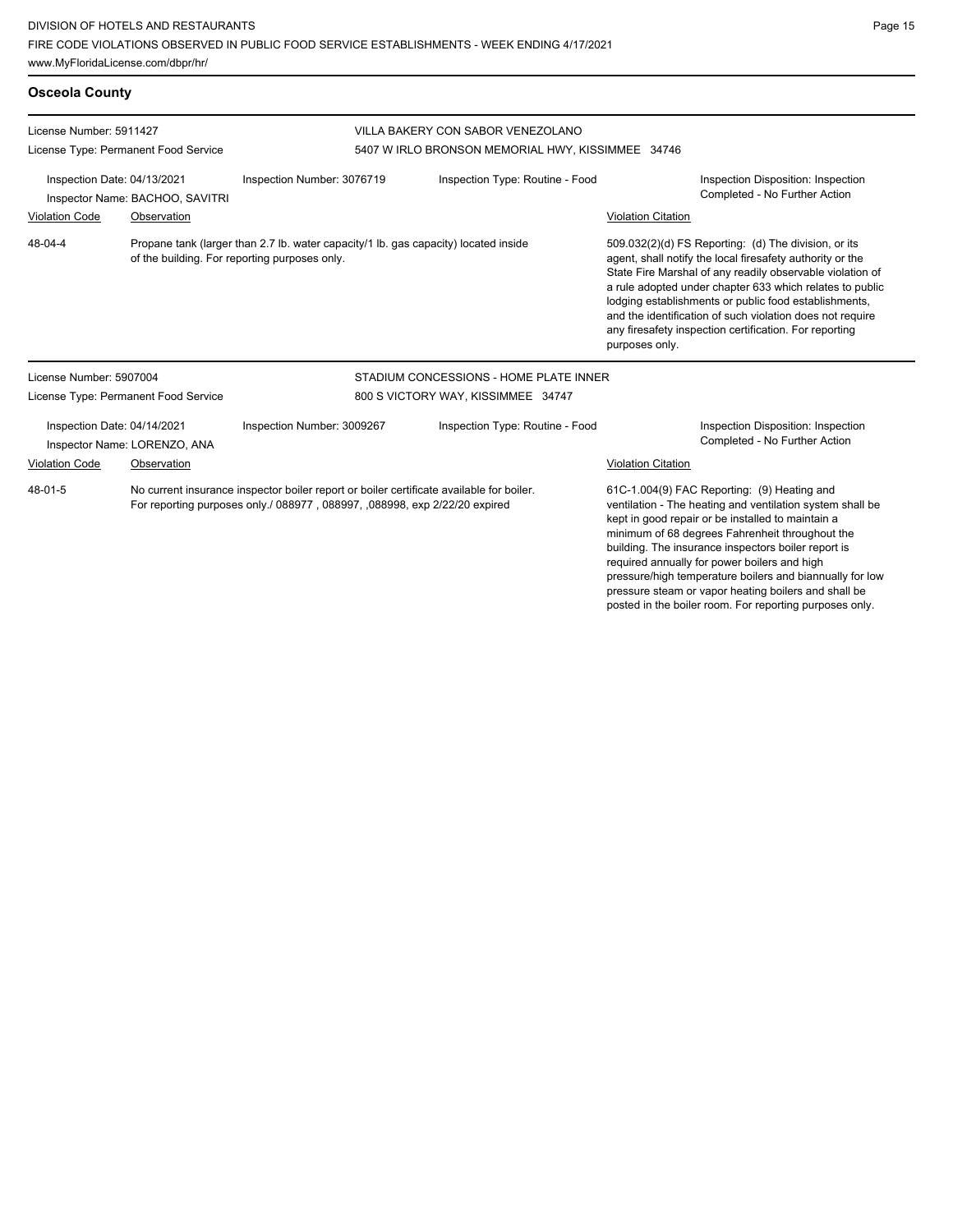pressure/high temperature boilers and biannually for low pressure steam or vapor heating boilers and shall be posted in the boiler room. For reporting purposes only.

| <b>Osceola County</b>                                           |                                                                                                                                      |                                                                                                                                                                       |                                                   |                                                                                                                                                                                                                                                                                                                                                                                                                                              |  |  |
|-----------------------------------------------------------------|--------------------------------------------------------------------------------------------------------------------------------------|-----------------------------------------------------------------------------------------------------------------------------------------------------------------------|---------------------------------------------------|----------------------------------------------------------------------------------------------------------------------------------------------------------------------------------------------------------------------------------------------------------------------------------------------------------------------------------------------------------------------------------------------------------------------------------------------|--|--|
| License Number: 5911427<br>License Type: Permanent Food Service |                                                                                                                                      |                                                                                                                                                                       | VILLA BAKERY CON SABOR VENEZOLANO                 |                                                                                                                                                                                                                                                                                                                                                                                                                                              |  |  |
|                                                                 |                                                                                                                                      |                                                                                                                                                                       | 5407 W IRLO BRONSON MEMORIAL HWY, KISSIMMEE 34746 |                                                                                                                                                                                                                                                                                                                                                                                                                                              |  |  |
| Inspection Date: 04/13/2021<br>Inspector Name: BACHOO, SAVITRI  |                                                                                                                                      | Inspection Number: 3076719                                                                                                                                            | Inspection Type: Routine - Food                   | Inspection Disposition: Inspection<br>Completed - No Further Action                                                                                                                                                                                                                                                                                                                                                                          |  |  |
| <b>Violation Code</b>                                           | Observation                                                                                                                          |                                                                                                                                                                       |                                                   | <b>Violation Citation</b>                                                                                                                                                                                                                                                                                                                                                                                                                    |  |  |
| 48-04-4                                                         | Propane tank (larger than 2.7 lb. water capacity/1 lb. gas capacity) located inside<br>of the building. For reporting purposes only. |                                                                                                                                                                       |                                                   | 509.032(2)(d) FS Reporting: (d) The division, or its<br>agent, shall notify the local firesafety authority or the<br>State Fire Marshal of any readily observable violation of<br>a rule adopted under chapter 633 which relates to public<br>lodging establishments or public food establishments,<br>and the identification of such violation does not require<br>any firesafety inspection certification. For reporting<br>purposes only. |  |  |
| License Number: 5907004                                         |                                                                                                                                      |                                                                                                                                                                       | STADIUM CONCESSIONS - HOME PLATE INNER            |                                                                                                                                                                                                                                                                                                                                                                                                                                              |  |  |
| License Type: Permanent Food Service                            |                                                                                                                                      | 800 S VICTORY WAY, KISSIMMEE 34747                                                                                                                                    |                                                   |                                                                                                                                                                                                                                                                                                                                                                                                                                              |  |  |
| Inspection Date: 04/14/2021<br>Inspector Name: LORENZO, ANA     |                                                                                                                                      | Inspection Number: 3009267                                                                                                                                            | Inspection Type: Routine - Food                   | Inspection Disposition: Inspection<br>Completed - No Further Action                                                                                                                                                                                                                                                                                                                                                                          |  |  |
| Violation Code                                                  | Observation                                                                                                                          |                                                                                                                                                                       |                                                   | <b>Violation Citation</b>                                                                                                                                                                                                                                                                                                                                                                                                                    |  |  |
| 48-01-5                                                         |                                                                                                                                      | No current insurance inspector boiler report or boiler certificate available for boiler.<br>For reporting purposes only./ 088977, 088997, 088998, exp 2/22/20 expired |                                                   | 61C-1.004(9) FAC Reporting: (9) Heating and<br>ventilation - The heating and ventilation system shall be<br>kept in good repair or be installed to maintain a<br>minimum of 68 degrees Fahrenheit throughout the<br>building. The insurance inspectors boiler report is<br>required annually for power boilers and high                                                                                                                      |  |  |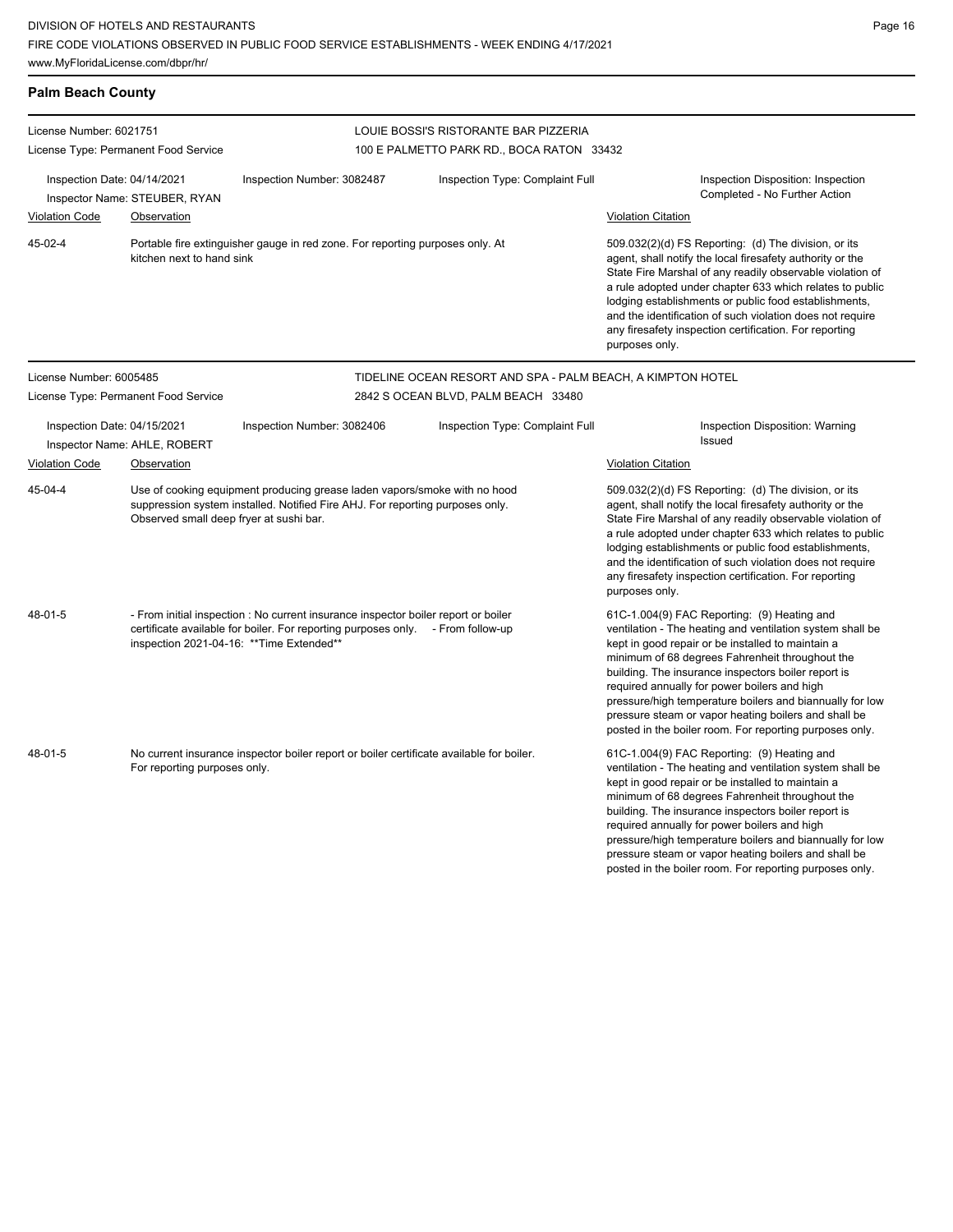Page 16

| <b>Palm Beach County</b>                                                                                                            |                                                                                                                                                                                                       |                                                                                                                                                                                                                    |                                                                                    |                                                                                                                                                                                                                                                                                                                                                                                                                                                                                                        |  |  |
|-------------------------------------------------------------------------------------------------------------------------------------|-------------------------------------------------------------------------------------------------------------------------------------------------------------------------------------------------------|--------------------------------------------------------------------------------------------------------------------------------------------------------------------------------------------------------------------|------------------------------------------------------------------------------------|--------------------------------------------------------------------------------------------------------------------------------------------------------------------------------------------------------------------------------------------------------------------------------------------------------------------------------------------------------------------------------------------------------------------------------------------------------------------------------------------------------|--|--|
| License Number: 6021751<br>License Type: Permanent Food Service                                                                     |                                                                                                                                                                                                       |                                                                                                                                                                                                                    | LOUIE BOSSI'S RISTORANTE BAR PIZZERIA<br>100 E PALMETTO PARK RD., BOCA RATON 33432 |                                                                                                                                                                                                                                                                                                                                                                                                                                                                                                        |  |  |
| Inspection Date: 04/14/2021<br>Inspector Name: STEUBER, RYAN<br><b>Violation Code</b><br>Observation                                |                                                                                                                                                                                                       | Inspection Number: 3082487                                                                                                                                                                                         | Inspection Type: Complaint Full                                                    | Inspection Disposition: Inspection<br>Completed - No Further Action<br><b>Violation Citation</b>                                                                                                                                                                                                                                                                                                                                                                                                       |  |  |
| 45-02-4                                                                                                                             | Portable fire extinguisher gauge in red zone. For reporting purposes only. At<br>kitchen next to hand sink                                                                                            |                                                                                                                                                                                                                    |                                                                                    | 509.032(2)(d) FS Reporting: (d) The division, or its<br>agent, shall notify the local firesafety authority or the<br>State Fire Marshal of any readily observable violation of<br>a rule adopted under chapter 633 which relates to public<br>lodging establishments or public food establishments,<br>and the identification of such violation does not require<br>any firesafety inspection certification. For reporting<br>purposes only.                                                           |  |  |
| License Number: 6005485                                                                                                             |                                                                                                                                                                                                       |                                                                                                                                                                                                                    | TIDELINE OCEAN RESORT AND SPA - PALM BEACH, A KIMPTON HOTEL                        |                                                                                                                                                                                                                                                                                                                                                                                                                                                                                                        |  |  |
|                                                                                                                                     | License Type: Permanent Food Service                                                                                                                                                                  |                                                                                                                                                                                                                    | 2842 S OCEAN BLVD, PALM BEACH 33480                                                |                                                                                                                                                                                                                                                                                                                                                                                                                                                                                                        |  |  |
| Inspection Date: 04/15/2021<br>Inspector Name: AHLE, ROBERT                                                                         |                                                                                                                                                                                                       | Inspection Number: 3082406                                                                                                                                                                                         | Inspection Type: Complaint Full                                                    | Inspection Disposition: Warning<br>Issued                                                                                                                                                                                                                                                                                                                                                                                                                                                              |  |  |
| <b>Violation Code</b>                                                                                                               | Observation                                                                                                                                                                                           |                                                                                                                                                                                                                    |                                                                                    | <b>Violation Citation</b>                                                                                                                                                                                                                                                                                                                                                                                                                                                                              |  |  |
| 45-04-4                                                                                                                             | Use of cooking equipment producing grease laden vapors/smoke with no hood<br>suppression system installed. Notified Fire AHJ. For reporting purposes only.<br>Observed small deep fryer at sushi bar. |                                                                                                                                                                                                                    |                                                                                    | 509.032(2)(d) FS Reporting: (d) The division, or its<br>agent, shall notify the local firesafety authority or the<br>State Fire Marshal of any readily observable violation of<br>a rule adopted under chapter 633 which relates to public<br>lodging establishments or public food establishments,<br>and the identification of such violation does not require<br>any firesafety inspection certification. For reporting<br>purposes only.                                                           |  |  |
| $48 - 01 - 5$                                                                                                                       |                                                                                                                                                                                                       | - From initial inspection : No current insurance inspector boiler report or boiler<br>certificate available for boiler. For reporting purposes only. - From follow-up<br>inspection 2021-04-16: ** Time Extended** |                                                                                    | 61C-1.004(9) FAC Reporting: (9) Heating and<br>ventilation - The heating and ventilation system shall be<br>kept in good repair or be installed to maintain a<br>minimum of 68 degrees Fahrenheit throughout the<br>building. The insurance inspectors boiler report is<br>required annually for power boilers and high<br>pressure/high temperature boilers and biannually for low<br>pressure steam or vapor heating boilers and shall be<br>posted in the boiler room. For reporting purposes only. |  |  |
| 48-01-5<br>No current insurance inspector boiler report or boiler certificate available for boiler.<br>For reporting purposes only. |                                                                                                                                                                                                       |                                                                                                                                                                                                                    |                                                                                    | 61C-1.004(9) FAC Reporting: (9) Heating and<br>ventilation - The heating and ventilation system shall be<br>kept in good repair or be installed to maintain a<br>minimum of 68 degrees Fahrenheit throughout the<br>building. The insurance inspectors boiler report is<br>required annually for power boilers and high<br>pressure/high temperature boilers and biannually for low<br>pressure steam or vapor heating boilers and shall be<br>posted in the boiler room. For reporting purposes only. |  |  |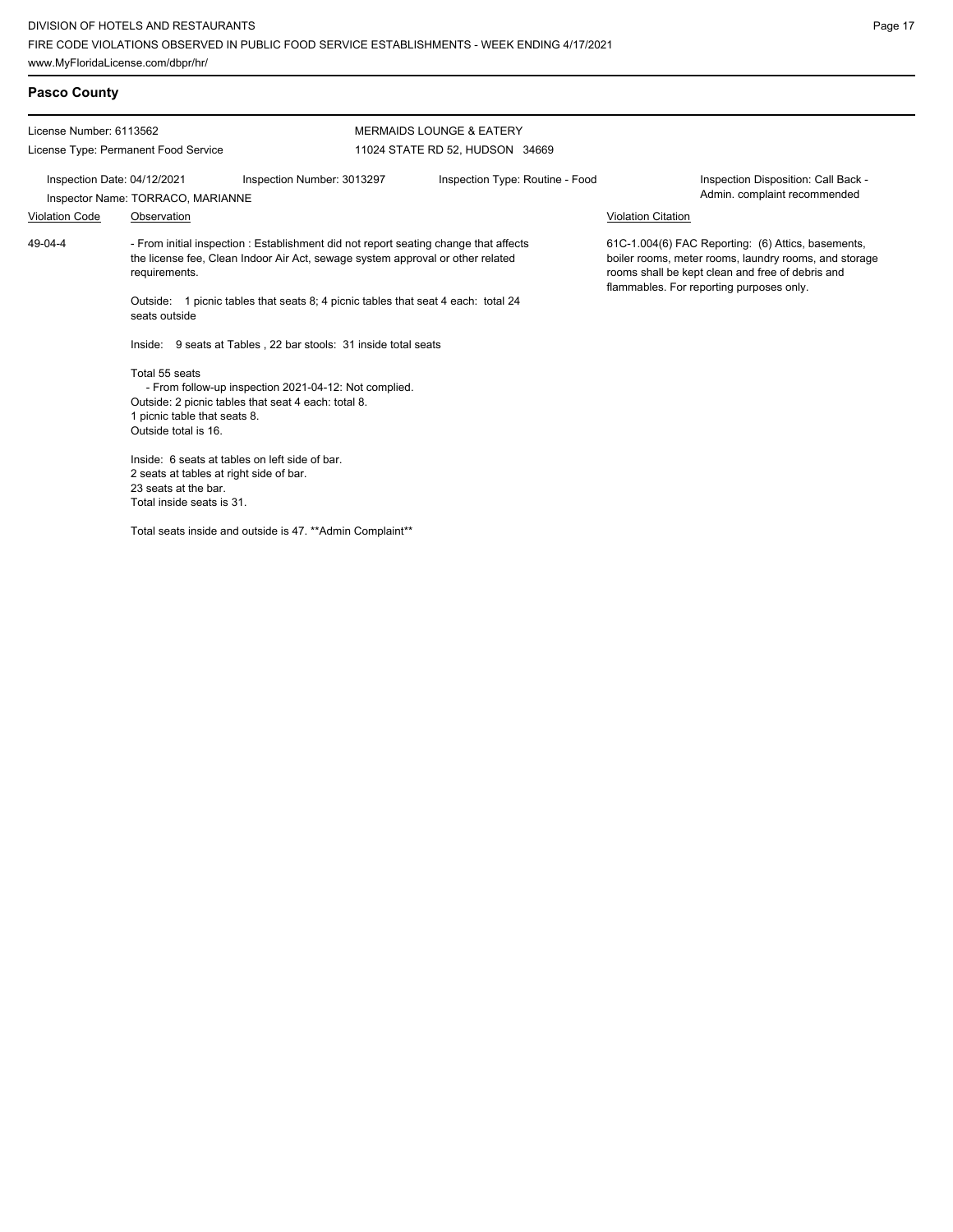## **Pasco County**

License Number: 6113562 License Type: Permanent Food Service MERMAIDS LOUNGE & EATERY 11024 STATE RD 52, HUDSON 34669 Inspection Date: 04/12/2021 Inspection Number: 3013297 Inspection Type: Routine - Food Inspection Disposition: Call Back - Inspector Name: TORRACO, MARIANNE **Inspector Name: TORRACO, MARIANNE** Violation Code Observation Violation Citation - From initial inspection : Establishment did not report seating change that affects the license fee, Clean Indoor Air Act, sewage system approval or other related requirements. Outside: 1 picnic tables that seats 8; 4 picnic tables that seat 4 each: total 24 seats outside Inside: 9 seats at Tables , 22 bar stools: 31 inside total seats Total 55 seats - From follow-up inspection 2021-04-12: Not complied. Outside: 2 picnic tables that seat 4 each: total 8. 1 picnic table that seats 8. Outside total is 16. Inside: 6 seats at tables on left side of bar. 2 seats at tables at right side of bar. 23 seats at the bar. Total inside seats is 31. 61C-1.004(6) FAC Reporting: (6) Attics, basements, boiler rooms, meter rooms, laundry rooms, and storage rooms shall be kept clean and free of debris and flammables. For reporting purposes only. 49-04-4

Total seats inside and outside is 47. \*\*Admin Complaint\*\*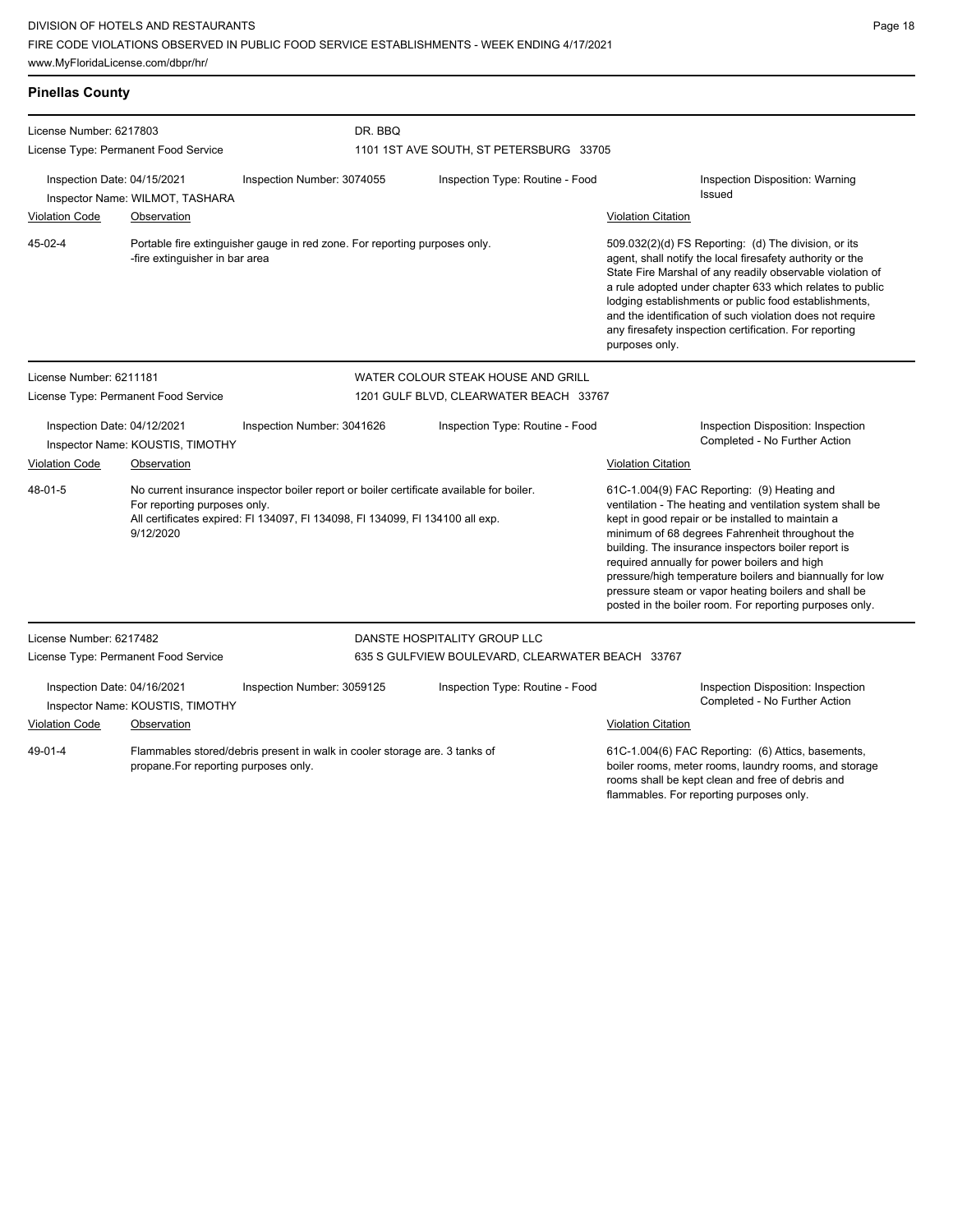Page 18

| <b>Pinellas County</b>                                                                                                        |                                                                                                                                                                                                                        |                                                  |                                                                            |                                                                                                                                                                                                             |                                                                                                                                                                                                                                                                                                                                                                                                                                              |                                                                                                                                                                                                                                                                                                                                                                                                                                                                                                        |
|-------------------------------------------------------------------------------------------------------------------------------|------------------------------------------------------------------------------------------------------------------------------------------------------------------------------------------------------------------------|--------------------------------------------------|----------------------------------------------------------------------------|-------------------------------------------------------------------------------------------------------------------------------------------------------------------------------------------------------------|----------------------------------------------------------------------------------------------------------------------------------------------------------------------------------------------------------------------------------------------------------------------------------------------------------------------------------------------------------------------------------------------------------------------------------------------|--------------------------------------------------------------------------------------------------------------------------------------------------------------------------------------------------------------------------------------------------------------------------------------------------------------------------------------------------------------------------------------------------------------------------------------------------------------------------------------------------------|
| License Number: 6217803<br>License Type: Permanent Food Service                                                               |                                                                                                                                                                                                                        |                                                  | DR. BBQ<br>1101 1ST AVE SOUTH, ST PETERSBURG 33705                         |                                                                                                                                                                                                             |                                                                                                                                                                                                                                                                                                                                                                                                                                              |                                                                                                                                                                                                                                                                                                                                                                                                                                                                                                        |
| Inspection Date: 04/15/2021<br><b>Violation Code</b>                                                                          | Inspector Name: WILMOT, TASHARA<br>Observation                                                                                                                                                                         | Inspection Number: 3074055                       |                                                                            | Inspection Type: Routine - Food                                                                                                                                                                             | <b>Violation Citation</b>                                                                                                                                                                                                                                                                                                                                                                                                                    | Inspection Disposition: Warning<br>Issued                                                                                                                                                                                                                                                                                                                                                                                                                                                              |
| 45-02-4                                                                                                                       | -fire extinguisher in bar area                                                                                                                                                                                         |                                                  | Portable fire extinguisher gauge in red zone. For reporting purposes only. |                                                                                                                                                                                                             | 509.032(2)(d) FS Reporting: (d) The division, or its<br>agent, shall notify the local firesafety authority or the<br>State Fire Marshal of any readily observable violation of<br>a rule adopted under chapter 633 which relates to public<br>lodging establishments or public food establishments,<br>and the identification of such violation does not require<br>any firesafety inspection certification. For reporting<br>purposes only. |                                                                                                                                                                                                                                                                                                                                                                                                                                                                                                        |
| License Number: 6211181                                                                                                       |                                                                                                                                                                                                                        |                                                  | WATER COLOUR STEAK HOUSE AND GRILL                                         |                                                                                                                                                                                                             |                                                                                                                                                                                                                                                                                                                                                                                                                                              |                                                                                                                                                                                                                                                                                                                                                                                                                                                                                                        |
|                                                                                                                               | License Type: Permanent Food Service                                                                                                                                                                                   |                                                  | 1201 GULF BLVD, CLEARWATER BEACH 33767                                     |                                                                                                                                                                                                             |                                                                                                                                                                                                                                                                                                                                                                                                                                              |                                                                                                                                                                                                                                                                                                                                                                                                                                                                                                        |
| Inspection Date: 04/12/2021                                                                                                   | Inspector Name: KOUSTIS, TIMOTHY                                                                                                                                                                                       | Inspection Number: 3041626                       |                                                                            | Inspection Type: Routine - Food                                                                                                                                                                             |                                                                                                                                                                                                                                                                                                                                                                                                                                              | Inspection Disposition: Inspection<br>Completed - No Further Action                                                                                                                                                                                                                                                                                                                                                                                                                                    |
| Violation Code                                                                                                                | Observation                                                                                                                                                                                                            |                                                  |                                                                            |                                                                                                                                                                                                             | <b>Violation Citation</b>                                                                                                                                                                                                                                                                                                                                                                                                                    |                                                                                                                                                                                                                                                                                                                                                                                                                                                                                                        |
| 48-01-5                                                                                                                       | No current insurance inspector boiler report or boiler certificate available for boiler.<br>For reporting purposes only.<br>All certificates expired: FI 134097, FI 134098, FI 134099, FI 134100 all exp.<br>9/12/2020 |                                                  |                                                                            |                                                                                                                                                                                                             |                                                                                                                                                                                                                                                                                                                                                                                                                                              | 61C-1.004(9) FAC Reporting: (9) Heating and<br>ventilation - The heating and ventilation system shall be<br>kept in good repair or be installed to maintain a<br>minimum of 68 degrees Fahrenheit throughout the<br>building. The insurance inspectors boiler report is<br>required annually for power boilers and high<br>pressure/high temperature boilers and biannually for low<br>pressure steam or vapor heating boilers and shall be<br>posted in the boiler room. For reporting purposes only. |
| License Number: 6217482                                                                                                       |                                                                                                                                                                                                                        |                                                  |                                                                            | DANSTE HOSPITALITY GROUP LLC                                                                                                                                                                                |                                                                                                                                                                                                                                                                                                                                                                                                                                              |                                                                                                                                                                                                                                                                                                                                                                                                                                                                                                        |
| License Type: Permanent Food Service                                                                                          |                                                                                                                                                                                                                        | 635 S GULFVIEW BOULEVARD, CLEARWATER BEACH 33767 |                                                                            |                                                                                                                                                                                                             |                                                                                                                                                                                                                                                                                                                                                                                                                                              |                                                                                                                                                                                                                                                                                                                                                                                                                                                                                                        |
| Inspection Date: 04/16/2021                                                                                                   | Inspector Name: KOUSTIS, TIMOTHY                                                                                                                                                                                       | Inspection Number: 3059125                       |                                                                            | Inspection Type: Routine - Food                                                                                                                                                                             |                                                                                                                                                                                                                                                                                                                                                                                                                                              | Inspection Disposition: Inspection<br>Completed - No Further Action                                                                                                                                                                                                                                                                                                                                                                                                                                    |
| <b>Violation Code</b>                                                                                                         | Observation                                                                                                                                                                                                            |                                                  |                                                                            |                                                                                                                                                                                                             | <b>Violation Citation</b>                                                                                                                                                                                                                                                                                                                                                                                                                    |                                                                                                                                                                                                                                                                                                                                                                                                                                                                                                        |
| 49-01-4<br>Flammables stored/debris present in walk in cooler storage are. 3 tanks of<br>propane.For reporting purposes only. |                                                                                                                                                                                                                        |                                                  |                                                                            | 61C-1.004(6) FAC Reporting: (6) Attics, basements,<br>boiler rooms, meter rooms, laundry rooms, and storage<br>rooms shall be kept clean and free of debris and<br>flammables. For reporting purposes only. |                                                                                                                                                                                                                                                                                                                                                                                                                                              |                                                                                                                                                                                                                                                                                                                                                                                                                                                                                                        |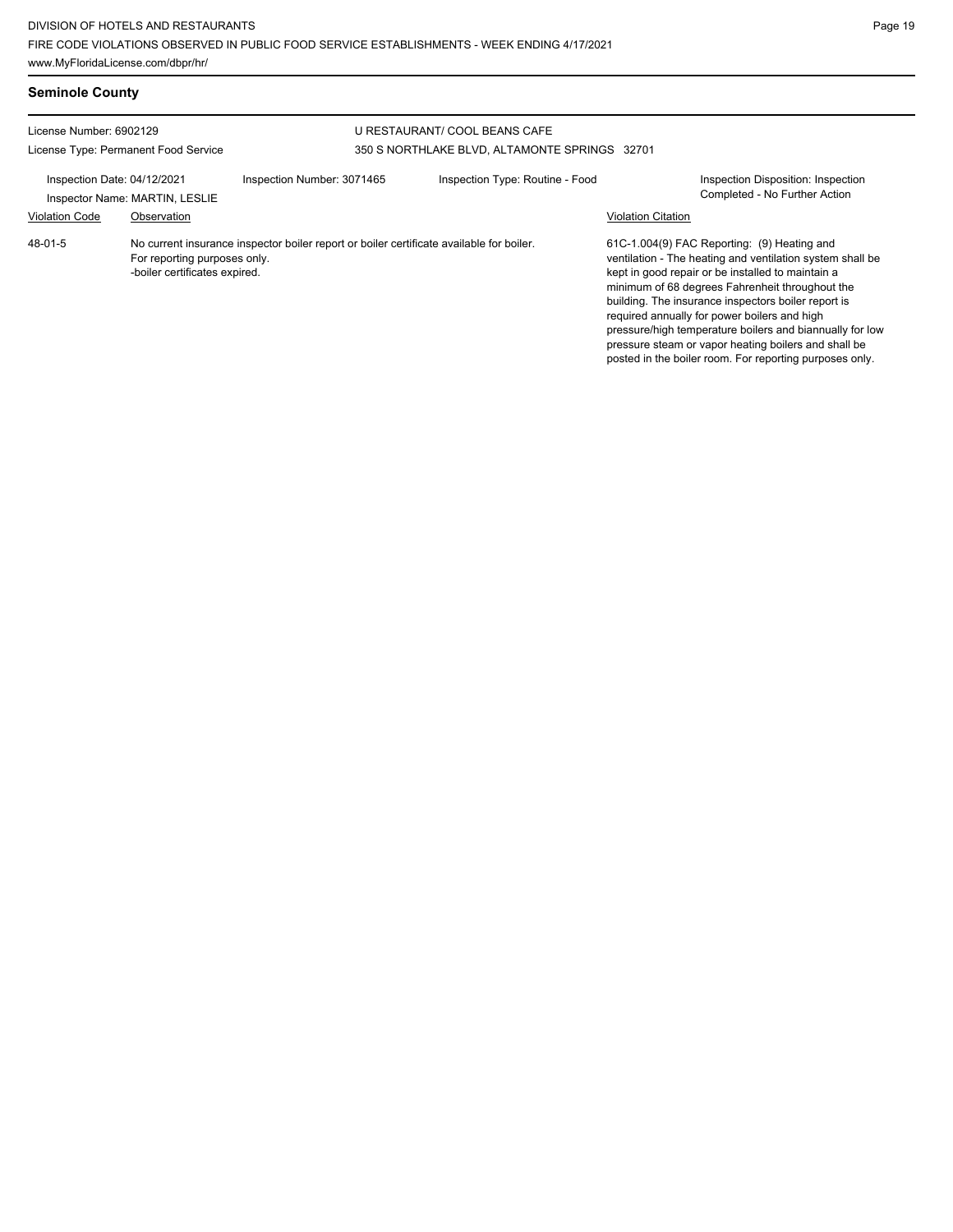| <b>Seminole County</b>                                                                                                           |                                                                              |                                                                                          |                                                                                |  |                                                                                                                                                                                                                                                                                                                                                                                                                                                                                                        |  |  |
|----------------------------------------------------------------------------------------------------------------------------------|------------------------------------------------------------------------------|------------------------------------------------------------------------------------------|--------------------------------------------------------------------------------|--|--------------------------------------------------------------------------------------------------------------------------------------------------------------------------------------------------------------------------------------------------------------------------------------------------------------------------------------------------------------------------------------------------------------------------------------------------------------------------------------------------------|--|--|
| License Number: 6902129<br>License Type: Permanent Food Service<br>Inspection Date: 04/12/2021<br>Inspector Name: MARTIN, LESLIE |                                                                              |                                                                                          | U RESTAURANT/ COOL BEANS CAFE<br>350 S NORTHLAKE BLVD, ALTAMONTE SPRINGS 32701 |  |                                                                                                                                                                                                                                                                                                                                                                                                                                                                                                        |  |  |
|                                                                                                                                  |                                                                              | Inspection Number: 3071465                                                               | Inspection Type: Routine - Food                                                |  | <b>Inspection Disposition: Inspection</b><br>Completed - No Further Action<br><b>Violation Citation</b>                                                                                                                                                                                                                                                                                                                                                                                                |  |  |
| <b>Violation Code</b><br>48-01-5                                                                                                 | Observation<br>For reporting purposes only.<br>-boiler certificates expired. | No current insurance inspector boiler report or boiler certificate available for boiler. |                                                                                |  | 61C-1.004(9) FAC Reporting: (9) Heating and<br>ventilation - The heating and ventilation system shall be<br>kept in good repair or be installed to maintain a<br>minimum of 68 degrees Fahrenheit throughout the<br>building. The insurance inspectors boiler report is<br>required annually for power boilers and high<br>pressure/high temperature boilers and biannually for low<br>pressure steam or vapor heating boilers and shall be<br>posted in the boiler room. For reporting purposes only. |  |  |